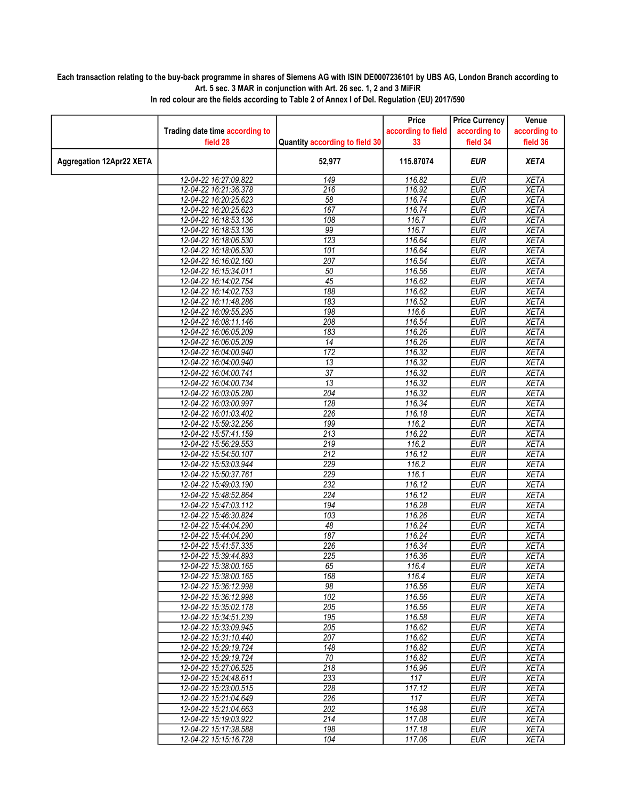## Each transaction relating to the buy-back programme in shares of Siemens AG with ISIN DE0007236101 by UBS AG, London Branch according to Art. 5 sec. 3 MAR in conjunction with Art. 26 sec. 1, 2 and 3 MiFiR

|                                 |                                |                                | Price              | <b>Price Currency</b> | Venue        |
|---------------------------------|--------------------------------|--------------------------------|--------------------|-----------------------|--------------|
|                                 | Trading date time according to |                                | according to field | according to          | according to |
|                                 | field 28                       | Quantity according to field 30 | 33                 | field 34              | field 36     |
| <b>Aggregation 12Apr22 XETA</b> |                                | 52,977                         | 115.87074          | <b>EUR</b>            | <b>XETA</b>  |
|                                 | 12-04-22 16:27:09.822          | 149                            | 116.82             | <b>EUR</b>            | <b>XETA</b>  |
|                                 | 12-04-22 16:21:36.378          | 216                            | 116.92             | <b>EUR</b>            | <b>XETA</b>  |
|                                 | 12-04-22 16:20:25.623          | 58                             | 116.74             | <b>EUR</b>            | <b>XETA</b>  |
|                                 | 12-04-22 16:20:25.623          | 167                            | 116.74             | <b>EUR</b>            | <b>XETA</b>  |
|                                 | 12-04-22 16:18:53.136          | 108                            | 116.7              | <b>EUR</b>            | <b>XETA</b>  |
|                                 | 12-04-22 16:18:53.136          | 99                             | 116.7              | <b>EUR</b>            | <b>XETA</b>  |
|                                 | 12-04-22 16:18:06.530          | $\overline{123}$               | 116.64             | <b>EUR</b>            | <b>XETA</b>  |
|                                 | 12-04-22 16:18:06.530          | 101                            | 116.64             | <b>EUR</b>            | <b>XETA</b>  |
|                                 | 12-04-22 16:16:02.160          | 207                            | 116.54             | <b>EUR</b>            | <b>XETA</b>  |
|                                 | 12-04-22 16:15:34.011          | 50                             | 116.56             | <b>EUR</b>            | <b>XETA</b>  |
|                                 | 12-04-22 16:14:02.754          | $\overline{45}$                | 116.62             | <b>EUR</b>            | <b>XETA</b>  |
|                                 | 12-04-22 16:14:02.753          | 188                            | 116.62             | <b>EUR</b>            | <b>XETA</b>  |
|                                 | 12-04-22 16:11:48.286          | 183                            | 116.52             | <b>EUR</b>            | <b>XETA</b>  |
|                                 | 12-04-22 16:09:55.295          | 198                            | 116.6              | <b>EUR</b>            | <b>XETA</b>  |
|                                 | 12-04-22 16:08:11.146          | 208                            | 116.54             | <b>EUR</b>            | <b>XETA</b>  |
|                                 | 12-04-22 16:06:05.209          | 183                            | 116.26             | <b>EUR</b>            | <b>XETA</b>  |
|                                 | 12-04-22 16:06:05.209          | $\overline{14}$                | 116.26             | <b>EUR</b>            | <b>XETA</b>  |
|                                 | 12-04-22 16:04:00.940          | 172                            | 116.32             | <b>EUR</b>            | <b>XETA</b>  |
|                                 | 12-04-22 16:04:00.940          | 13                             | 116.32             | <b>EUR</b>            | <b>XETA</b>  |
|                                 | 12-04-22 16:04:00.741          | $\overline{37}$                | 116.32             | <b>EUR</b>            | <b>XETA</b>  |
|                                 | 12-04-22 16:04:00.734          | 13                             | 116.32             | <b>EUR</b>            | <b>XETA</b>  |
|                                 | 12-04-22 16:03:05.280          | 204                            | 116.32             | <b>EUR</b>            | <b>XETA</b>  |
|                                 | 12-04-22 16:03:00.997          | 128                            | 116.34             | <b>EUR</b>            | <b>XETA</b>  |
|                                 | 12-04-22 16:01:03.402          | 226                            | 116.18             | <b>EUR</b>            | <b>XETA</b>  |
|                                 | 12-04-22 15:59:32.256          | 199                            | 116.2              | <b>EUR</b>            | <b>XETA</b>  |
|                                 | 12-04-22 15:57:41.159          | $\overline{213}$               | 116.22             | <b>EUR</b>            | <b>XETA</b>  |
|                                 | 12-04-22 15:56:29.553          | $\overline{219}$               | 116.2              | <b>EUR</b>            | <b>XETA</b>  |
|                                 | 12-04-22 15:54:50.107          | 212                            | 116.12             | <b>EUR</b>            | <b>XETA</b>  |
|                                 | 12-04-22 15:53:03.944          | 229                            | 116.2              | <b>EUR</b>            | <b>XETA</b>  |
|                                 | 12-04-22 15:50:37.761          | 229                            | 116.1              | <b>EUR</b>            | <b>XETA</b>  |
|                                 | 12-04-22 15:49:03.190          | 232                            | 116.12             | <b>EUR</b>            | <b>XETA</b>  |
|                                 | 12-04-22 15:48:52.864          | $\overline{224}$               | 116.12             | <b>EUR</b>            | <b>XETA</b>  |
|                                 | 12-04-22 15:47:03.112          | 194                            | 116.28             | <b>EUR</b>            | <b>XETA</b>  |
|                                 | 12-04-22 15:46:30.824          | 103                            | 116.26             | <b>EUR</b>            | <b>XETA</b>  |
|                                 | 12-04-22 15:44:04.290          | 48                             | 116.24             | <b>EUR</b>            | <b>XETA</b>  |
|                                 | 12-04-22 15:44:04.290          | 187                            | 116.24             | <b>EUR</b>            | <b>XETA</b>  |
|                                 | 12-04-22 15:41:57.335          | 226                            | 116.34             | <b>EUR</b>            | <b>XETA</b>  |
|                                 | 12-04-22 15:39:44.893          | 225                            | 116.36             | <b>EUR</b>            | <b>XETA</b>  |
|                                 | 12-04-22 15:38:00.165          | 65                             | 116.4              | <b>EUR</b>            | <b>XETA</b>  |
|                                 | 12-04-22 15:38:00.165          | 168                            | 116.4              | <b>EUR</b>            | <b>XETA</b>  |
|                                 | 12-04-22 15:36:12.998          | 98                             | 116.56             | EUR                   | XETA         |
|                                 | 12-04-22 15:36:12.998          | 102                            | 116.56             | <b>EUR</b>            | <b>XETA</b>  |
|                                 | 12-04-22 15:35:02.178          | $\overline{205}$               | 116.56             | <b>EUR</b>            | <b>XETA</b>  |
|                                 | 12-04-22 15:34:51.239          | 195                            | 116.58             | <b>EUR</b>            | <b>XETA</b>  |
|                                 | 12-04-22 15:33:09.945          | 205                            | 116.62             | <b>EUR</b>            | <b>XETA</b>  |
|                                 | 12-04-22 15:31:10.440          | 207                            | 116.62             | <b>EUR</b>            | <b>XETA</b>  |
|                                 | 12-04-22 15:29:19.724          | 148                            | 116.82             | EUR                   | XETA         |
|                                 | 12-04-22 15:29:19.724          | $\overline{70}$                | 116.82             | <b>EUR</b>            | <b>XETA</b>  |
|                                 | 12-04-22 15:27:06.525          | 218                            | 116.96             | <b>EUR</b>            | <b>XETA</b>  |
|                                 | 12-04-22 15:24:48.611          | 233                            | 117                | <b>EUR</b>            | <b>XETA</b>  |
|                                 | 12-04-22 15:23:00.515          | 228                            | 117.12             | <b>EUR</b>            | <b>XETA</b>  |
|                                 | 12-04-22 15:21:04.649          | $\overline{226}$               | 117                | <b>EUR</b>            | <b>XETA</b>  |
|                                 | 12-04-22 15:21:04.663          | 202                            | 116.98             | EUR                   | <b>XETA</b>  |
|                                 | 12-04-22 15:19:03.922          | 214                            | 117.08             | <b>EUR</b>            | <b>XETA</b>  |
|                                 | 12-04-22 15:17:38.588          | 198                            | 117.18             | <b>EUR</b>            | <b>XETA</b>  |
|                                 | 12-04-22 15:15:16.728          | 104                            | 117.06             | <b>EUR</b>            | <b>XETA</b>  |

In red colour are the fields according to Table 2 of Annex I of Del. Regulation (EU) 2017/590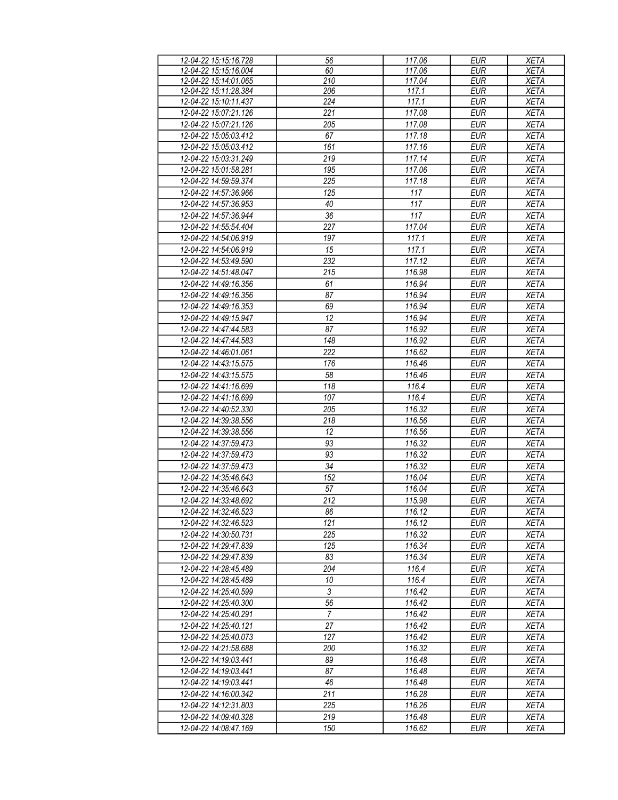| 12-04-22 15:15:16.728 | 56             | 117.06 | <b>EUR</b> | <b>XETA</b> |
|-----------------------|----------------|--------|------------|-------------|
| 12-04-22 15:15:16.004 | 60             | 117.06 | <b>EUR</b> | <b>XETA</b> |
| 12-04-22 15:14:01.065 | 210            | 117.04 | <b>EUR</b> | <b>XETA</b> |
|                       |                |        |            |             |
| 12-04-22 15:11:28.384 | 206            | 117.1  | <b>EUR</b> | <b>XETA</b> |
| 12-04-22 15:10:11.437 | 224            | 117.1  | <b>EUR</b> | <b>XETA</b> |
| 12-04-22 15:07:21.126 | 221            | 117.08 | <b>EUR</b> | <b>XETA</b> |
| 12-04-22 15:07:21.126 | 205            | 117.08 | <b>EUR</b> | <b>XETA</b> |
| 12-04-22 15:05:03.412 | 67             | 117.18 | <b>EUR</b> | <b>XETA</b> |
| 12-04-22 15:05:03.412 | 161            | 117.16 | <b>EUR</b> | <b>XETA</b> |
| 12-04-22 15:03:31.249 | 219            | 117.14 | <b>EUR</b> | <b>XETA</b> |
|                       |                |        |            |             |
| 12-04-22 15:01:58.281 | 195            | 117.06 | <b>EUR</b> | <b>XETA</b> |
| 12-04-22 14:59:59.374 | 225            | 117.18 | <b>EUR</b> | <b>XETA</b> |
| 12-04-22 14:57:36.966 | 125            | 117    | <b>EUR</b> | <b>XETA</b> |
| 12-04-22 14:57:36.953 | 40             | 117    | <b>EUR</b> | <b>XETA</b> |
| 12-04-22 14:57:36.944 | 36             | 117    | <b>EUR</b> | <b>XETA</b> |
| 12-04-22 14:55:54.404 | 227            | 117.04 | <b>EUR</b> | <b>XETA</b> |
| 12-04-22 14:54:06.919 | 197            | 117.1  | <b>EUR</b> | <b>XETA</b> |
|                       |                |        |            |             |
| 12-04-22 14:54:06.919 | 15             | 117.1  | <b>EUR</b> | <b>XETA</b> |
| 12-04-22 14:53:49.590 | 232            | 117.12 | <b>EUR</b> | <b>XETA</b> |
| 12-04-22 14:51:48.047 | 215            | 116.98 | <b>EUR</b> | <b>XETA</b> |
| 12-04-22 14:49:16.356 | 61             | 116.94 | <b>EUR</b> | <b>XETA</b> |
| 12-04-22 14:49:16.356 | 87             | 116.94 | <b>EUR</b> | <b>XETA</b> |
| 12-04-22 14:49:16.353 | 69             | 116.94 | <b>EUR</b> | <b>XETA</b> |
| 12-04-22 14:49:15.947 | 12             | 116.94 | <b>EUR</b> | <b>XETA</b> |
| 12-04-22 14:47:44.583 | 87             | 116.92 | <b>EUR</b> | <b>XETA</b> |
| 12-04-22 14:47:44.583 | 148            | 116.92 | <b>EUR</b> | <b>XETA</b> |
|                       |                |        |            |             |
| 12-04-22 14:46:01.061 | 222            | 116.62 | <b>EUR</b> | <b>XETA</b> |
| 12-04-22 14:43:15.575 | 176            | 116.46 | <b>EUR</b> | <b>XETA</b> |
| 12-04-22 14:43:15.575 | 58             | 116.46 | <b>EUR</b> | <b>XETA</b> |
| 12-04-22 14:41:16.699 | 118            | 116.4  | <b>EUR</b> | <b>XETA</b> |
| 12-04-22 14:41:16.699 | 107            | 116.4  | <b>EUR</b> | <b>XETA</b> |
| 12-04-22 14:40:52.330 | 205            | 116.32 | <b>EUR</b> | <b>XETA</b> |
| 12-04-22 14:39:38.556 | 218            | 116.56 | <b>EUR</b> | <b>XETA</b> |
| 12-04-22 14:39:38.556 | 12             | 116.56 | <b>EUR</b> | <b>XETA</b> |
| 12-04-22 14:37:59.473 | 93             | 116.32 | <b>EUR</b> | <b>XETA</b> |
| 12-04-22 14:37:59.473 | 93             | 116.32 | <b>EUR</b> | <b>XETA</b> |
| 12-04-22 14:37:59.473 | 34             | 116.32 | <b>EUR</b> | <b>XETA</b> |
| 12-04-22 14:35:46.643 | 152            | 116.04 | <b>EUR</b> | <b>XETA</b> |
| 12-04-22 14:35:46.643 |                |        |            |             |
|                       | 57             | 116.04 | <b>EUR</b> | <b>XETA</b> |
| 12-04-22 14:33:48.692 | 212            | 115.98 | <b>EUR</b> | <b>XETA</b> |
| 12-04-22 14:32:46.523 | 86             | 116.12 | <b>EUR</b> | <b>XETA</b> |
| 12-04-22 14:32:46.523 | 121            | 116.12 | <b>EUR</b> | <b>XETA</b> |
| 12-04-22 14:30:50.731 | 225            | 116.32 | EUR        | XETA        |
| 12-04-22 14:29:47.839 | 125            | 116.34 | <b>EUR</b> | <b>XETA</b> |
| 12-04-22 14:29:47.839 | 83             | 116.34 | <b>EUR</b> | XETA        |
| 12-04-22 14:28:45.489 | 204            | 116.4  | <b>EUR</b> | XETA        |
| 12-04-22 14:28:45.489 | 10             | 116.4  | EUR        | XETA        |
| 12-04-22 14:25:40.599 | $\overline{3}$ | 116.42 | <b>EUR</b> | <b>XETA</b> |
| 12-04-22 14:25:40.300 | 56             | 116.42 | <b>EUR</b> | <b>XETA</b> |
| 12-04-22 14:25:40.291 | $\overline{7}$ | 116.42 | <b>EUR</b> | <b>XETA</b> |
| 12-04-22 14:25:40.121 | 27             | 116.42 | <b>EUR</b> |             |
|                       |                |        |            | <b>XETA</b> |
| 12-04-22 14:25:40.073 | 127            | 116.42 | $E$ UR     | XETA        |
| 12-04-22 14:21:58.688 | 200            | 116.32 | <b>EUR</b> | XETA        |
| 12-04-22 14:19:03.441 | 89             | 116.48 | <b>EUR</b> | XETA        |
| 12-04-22 14:19:03.441 | 87             | 116.48 | <b>EUR</b> | <b>XETA</b> |
| 12-04-22 14:19:03.441 | 46             | 116.48 | <b>EUR</b> | <b>XETA</b> |
| 12-04-22 14:16:00.342 | 211            | 116.28 | <b>EUR</b> | <b>XETA</b> |
| 12-04-22 14:12:31.803 | 225            | 116.26 | <b>EUR</b> | <b>XETA</b> |
| 12-04-22 14:09:40.328 | 219            | 116.48 | EUR        | <b>XETA</b> |
| 12-04-22 14:08:47.169 | 150            | 116.62 | EUR        | <b>XETA</b> |
|                       |                |        |            |             |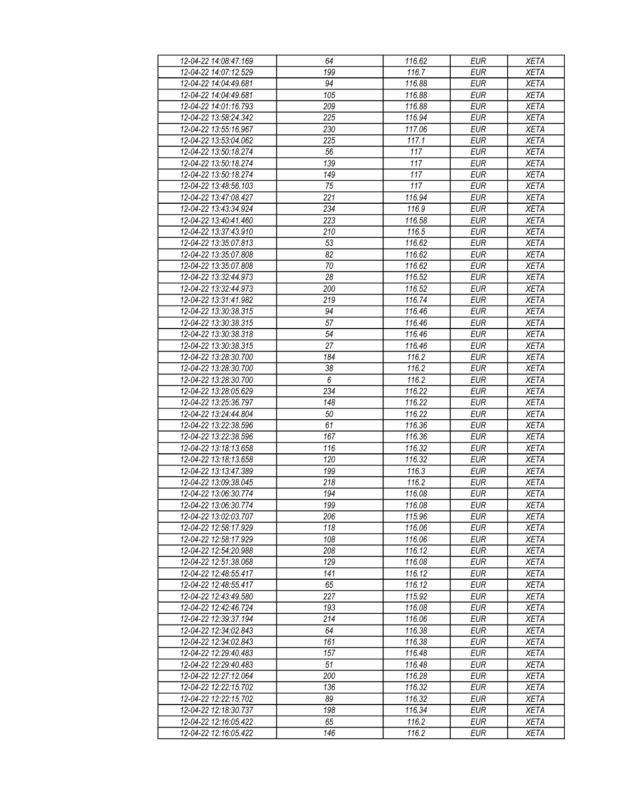| 12-04-22 14:08:47.169 | 64              | 116.62 | <b>EUR</b> | <b>XETA</b> |
|-----------------------|-----------------|--------|------------|-------------|
| 12-04-22 14:07:12.529 | 199             | 116.7  | <b>EUR</b> | <b>XETA</b> |
| 12-04-22 14:04:49.681 | $\overline{94}$ | 116.88 | <b>EUR</b> | <b>XETA</b> |
| 12-04-22 14:04:49.681 | 105             | 116.88 | <b>EUR</b> | <b>XETA</b> |
| 12-04-22 14:01:16.793 | 209             | 116.88 | <b>EUR</b> | <b>XETA</b> |
| 12-04-22 13:58:24.342 | 225             | 116.94 | <b>EUR</b> | <b>XETA</b> |
|                       |                 |        | <b>EUR</b> |             |
| 12-04-22 13:55:16.967 | 230             | 117.06 |            | <b>XETA</b> |
| 12-04-22 13:53:04.062 | 225             | 117.1  | <b>EUR</b> | <b>XETA</b> |
| 12-04-22 13:50:18.274 | 56              | 117    | <b>EUR</b> | <b>XETA</b> |
| 12-04-22 13:50:18.274 | 139             | 117    | <b>EUR</b> | <b>XETA</b> |
| 12-04-22 13:50:18.274 | 149             | 117    | <b>EUR</b> | <b>XETA</b> |
| 12-04-22 13:48:56.103 | 75              | 117    | <b>EUR</b> | <b>XETA</b> |
| 12-04-22 13:47:08.427 | 221             | 116.94 | <b>EUR</b> | <b>XETA</b> |
| 12-04-22 13:43:34.924 | 234             | 116.9  | <b>EUR</b> | <b>XETA</b> |
| 12-04-22 13:40:41.460 | 223             | 116.58 | <b>EUR</b> | <b>XETA</b> |
| 12-04-22 13:37:43.910 | 210             | 116.5  | <b>EUR</b> | <b>XETA</b> |
| 12-04-22 13:35:07.813 | 53              | 116.62 | <b>EUR</b> | <b>XETA</b> |
| 12-04-22 13:35:07.808 | 82              | 116.62 | <b>EUR</b> | <b>XETA</b> |
| 12-04-22 13:35:07.808 | 70              | 116.62 | <b>EUR</b> | <b>XETA</b> |
| 12-04-22 13:32:44.973 | $\overline{28}$ | 116.52 | <b>EUR</b> | <b>XETA</b> |
| 12-04-22 13:32:44.973 | 200             | 116.52 | <b>EUR</b> | <b>XETA</b> |
| 12-04-22 13:31:41.982 | 219             | 116.74 | <b>EUR</b> | <b>XETA</b> |
| 12-04-22 13:30:38.315 | 94              | 116.46 | <b>EUR</b> | <b>XETA</b> |
| 12-04-22 13:30:38.315 | 57              | 116.46 | <b>EUR</b> | <b>XETA</b> |
| 12-04-22 13:30:38.318 | 54              | 116.46 | <b>EUR</b> | <b>XETA</b> |
|                       |                 |        |            |             |
| 12-04-22 13:30:38.315 | 27              | 116.46 | <b>EUR</b> | <b>XETA</b> |
| 12-04-22 13:28:30.700 | 184             | 116.2  | <b>EUR</b> | <b>XETA</b> |
| 12-04-22 13:28:30.700 | 38              | 116.2  | <b>EUR</b> | <b>XETA</b> |
| 12-04-22 13:28:30.700 | 6               | 116.2  | <b>EUR</b> | <b>XETA</b> |
| 12-04-22 13:28:05.629 | 234             | 116.22 | <b>EUR</b> | <b>XETA</b> |
| 12-04-22 13:25:36.797 | 148             | 116.22 | <b>EUR</b> | <b>XETA</b> |
| 12-04-22 13:24:44.804 | 50              | 116.22 | <b>EUR</b> | <b>XETA</b> |
| 12-04-22 13:22:38.596 | 61              | 116.36 | <b>EUR</b> | <b>XETA</b> |
| 12-04-22 13:22:38.596 | 167             | 116.36 | <b>EUR</b> | <b>XETA</b> |
| 12-04-22 13:18:13.658 | 116             | 116.32 | <b>EUR</b> | <b>XETA</b> |
| 12-04-22 13:18:13.658 | 120             | 116.32 | <b>EUR</b> | <b>XETA</b> |
| 12-04-22 13:13:47.389 | 199             | 116.3  | <b>EUR</b> | <b>XETA</b> |
| 12-04-22 13:09:38.045 | 218             | 116.2  | <b>EUR</b> | <b>XETA</b> |
| 12-04-22 13:06:30.774 | 194             | 116.08 | <b>EUR</b> | <b>XETA</b> |
| 12-04-22 13:06:30.774 | 199             | 116.08 | <b>EUR</b> | <b>XETA</b> |
| 12-04-22 13:02:03.707 | 206             | 115.96 | EUR        | XETA        |
| 12-04-22 12:58:17.929 | 118             | 116.06 | <b>EUR</b> | <b>XETA</b> |
| 12-04-22 12:58:17.929 | 108             | 116.06 | <b>EUR</b> | <b>XETA</b> |
| 12-04-22 12:54:20.988 | 208             | 116.12 | <b>EUR</b> | <b>XETA</b> |
| 12-04-22 12:51:38.068 | 129             | 116.08 | <b>EUR</b> | <b>XETA</b> |
| 12-04-22 12:48:55.417 | 141             | 116.12 | <b>EUR</b> | <b>XETA</b> |
|                       |                 |        |            |             |
| 12-04-22 12:48:55.417 | 65              | 116.12 | <b>EUR</b> | <b>XETA</b> |
| 12-04-22 12:43:49.580 | 227             | 115.92 | <b>EUR</b> | <b>XETA</b> |
| 12-04-22 12:42:46.724 | 193             | 116.08 | <b>EUR</b> | <b>XETA</b> |
| 12-04-22 12:39:37.194 | 214             | 116.06 | EUR        | <b>XETA</b> |
| 12-04-22 12:34:02.843 | 64              | 116.38 | <b>EUR</b> | <b>XETA</b> |
| 12-04-22 12:34:02.843 | 161             | 116.38 | <b>EUR</b> | <b>XETA</b> |
| 12-04-22 12:29:40.483 | 157             | 116.48 | <b>EUR</b> | <b>XETA</b> |
| 12-04-22 12:29:40.483 | 51              | 116.48 | EUR        | <b>XETA</b> |
| 12-04-22 12:27:12.064 | 200             | 116.28 | <b>EUR</b> | <b>XETA</b> |
| 12-04-22 12:22:15.702 | 136             | 116.32 | <b>EUR</b> | <b>XETA</b> |
| 12-04-22 12:22:15.702 | 89              | 116.32 | <b>EUR</b> | <b>XETA</b> |
| 12-04-22 12:18:30.737 | 198             | 116.34 | EUR        | XETA        |
| 12-04-22 12:16:05.422 | 65              | 116.2  | EUR        | XETA        |
| 12-04-22 12:16:05.422 | 146             | 116.2  | EUR        | <b>XETA</b> |
|                       |                 |        |            |             |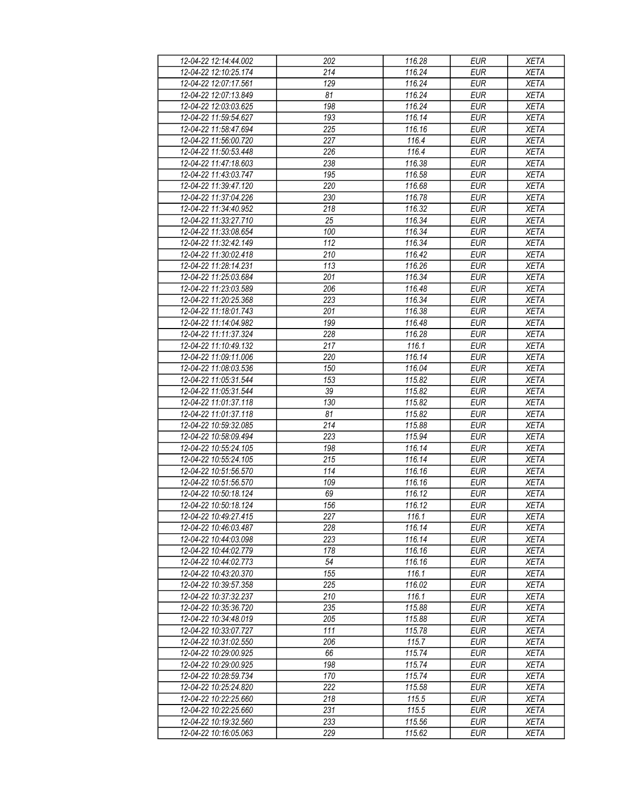| 12-04-22 12:14:44.002 | 202              | 116.28 | <b>EUR</b> | <b>XETA</b> |
|-----------------------|------------------|--------|------------|-------------|
| 12-04-22 12:10:25.174 | 214              | 116.24 | <b>EUR</b> | <b>XETA</b> |
| 12-04-22 12:07:17.561 | $\overline{129}$ | 116.24 | <b>EUR</b> | <b>XETA</b> |
| 12-04-22 12:07:13.849 | 81               | 116.24 | <b>EUR</b> | <b>XETA</b> |
| 12-04-22 12:03:03.625 | 198              | 116.24 | <b>EUR</b> | <b>XETA</b> |
| 12-04-22 11:59:54.627 | 193              | 116.14 | <b>EUR</b> | <b>XETA</b> |
|                       | 225              | 116.16 | <b>EUR</b> |             |
| 12-04-22 11:58:47.694 |                  |        |            | <b>XETA</b> |
| 12-04-22 11:56:00.720 | 227              | 116.4  | <b>EUR</b> | <b>XETA</b> |
| 12-04-22 11:50:53.448 | 226              | 116.4  | <b>EUR</b> | <b>XETA</b> |
| 12-04-22 11:47:18.603 | 238              | 116.38 | <b>EUR</b> | <b>XETA</b> |
| 12-04-22 11:43:03.747 | 195              | 116.58 | <b>EUR</b> | <b>XETA</b> |
| 12-04-22 11:39:47.120 | 220              | 116.68 | <b>EUR</b> | <b>XETA</b> |
| 12-04-22 11:37:04.226 | 230              | 116.78 | <b>EUR</b> | <b>XETA</b> |
| 12-04-22 11:34:40.952 | 218              | 116.32 | <b>EUR</b> | <b>XETA</b> |
| 12-04-22 11:33:27.710 | 25               | 116.34 | <b>EUR</b> | <b>XETA</b> |
| 12-04-22 11:33:08.654 | 100              | 116.34 | <b>EUR</b> | <b>XETA</b> |
| 12-04-22 11:32:42.149 | 112              | 116.34 | <b>EUR</b> | <b>XETA</b> |
| 12-04-22 11:30:02.418 | 210              | 116.42 | <b>EUR</b> | <b>XETA</b> |
| 12-04-22 11:28:14.231 | $\overline{113}$ | 116.26 | <b>EUR</b> | <b>XETA</b> |
| 12-04-22 11:25:03.684 | $\overline{201}$ | 116.34 | <b>EUR</b> | <b>XETA</b> |
| 12-04-22 11:23:03.589 | 206              | 116.48 | <b>EUR</b> | <b>XETA</b> |
| 12-04-22 11:20:25.368 | 223              | 116.34 | <b>EUR</b> | <b>XETA</b> |
| 12-04-22 11:18:01.743 | 201              | 116.38 | <b>EUR</b> | <b>XETA</b> |
| 12-04-22 11:14:04.982 | 199              | 116.48 | <b>EUR</b> | <b>XETA</b> |
| 12-04-22 11:11:37.324 | 228              | 116.28 | <b>EUR</b> | <b>XETA</b> |
| 12-04-22 11:10:49.132 | 217              | 116.1  | <b>EUR</b> | <b>XETA</b> |
|                       |                  |        |            |             |
| 12-04-22 11:09:11.006 | 220              | 116.14 | <b>EUR</b> | <b>XETA</b> |
| 12-04-22 11:08:03.536 | 150              | 116.04 | <b>EUR</b> | <b>XETA</b> |
| 12-04-22 11:05:31.544 | 153              | 115.82 | <b>EUR</b> | <b>XETA</b> |
| 12-04-22 11:05:31.544 | 39               | 115.82 | <b>EUR</b> | <b>XETA</b> |
| 12-04-22 11:01:37.118 | 130              | 115.82 | <b>EUR</b> | <b>XETA</b> |
| 12-04-22 11:01:37.118 | 81               | 115.82 | <b>EUR</b> | <b>XETA</b> |
| 12-04-22 10:59:32.085 | 214              | 115.88 | <b>EUR</b> | <b>XETA</b> |
| 12-04-22 10:58:09.494 | 223              | 115.94 | <b>EUR</b> | <b>XETA</b> |
| 12-04-22 10:55:24.105 | 198              | 116.14 | <b>EUR</b> | <b>XETA</b> |
| 12-04-22 10:55:24.105 | 215              | 116.14 | <b>EUR</b> | <b>XETA</b> |
| 12-04-22 10:51:56.570 | 114              | 116.16 | <b>EUR</b> | <b>XETA</b> |
| 12-04-22 10:51:56.570 | 109              | 116.16 | <b>EUR</b> | <b>XETA</b> |
| 12-04-22 10:50:18.124 | 69               | 116.12 | <b>EUR</b> | <b>XETA</b> |
| 12-04-22 10:50:18.124 | 156              | 116.12 | <b>EUR</b> | <b>XETA</b> |
| 12-04-22 10:49:27.415 | 227              | 116.1  | EUR        | XETA        |
| 12-04-22 10:46:03.487 | 228              | 116.14 | <b>EUR</b> | <b>XETA</b> |
| 12-04-22 10:44:03.098 | 223              | 116.14 | <b>EUR</b> | <b>XETA</b> |
| 12-04-22 10:44:02.779 | 178              | 116.16 | <b>EUR</b> | <b>XETA</b> |
| 12-04-22 10:44:02.773 | 54               | 116.16 | <b>EUR</b> | <b>XETA</b> |
| 12-04-22 10:43:20.370 | 155              | 116.1  | <b>EUR</b> | <b>XETA</b> |
|                       |                  | 116.02 |            |             |
| 12-04-22 10:39:57.358 | 225              |        | <b>EUR</b> | <b>XETA</b> |
| 12-04-22 10:37:32.237 | 210              | 116.1  | <b>EUR</b> | <b>XETA</b> |
| 12-04-22 10:35:36.720 | 235              | 115.88 | <b>EUR</b> | <b>XETA</b> |
| 12-04-22 10:34:48.019 | 205              | 115.88 | EUR        | <b>XETA</b> |
| 12-04-22 10:33:07.727 | 111              | 115.78 | <b>EUR</b> | <b>XETA</b> |
| 12-04-22 10:31:02.550 | 206              | 115.7  | <b>EUR</b> | <b>XETA</b> |
| 12-04-22 10:29:00.925 | 66               | 115.74 | <b>EUR</b> | <b>XETA</b> |
| 12-04-22 10:29:00.925 | 198              | 115.74 | EUR        | <b>XETA</b> |
| 12-04-22 10:28:59.734 | 170              | 115.74 | <b>EUR</b> | <b>XETA</b> |
| 12-04-22 10:25:24.820 | 222              | 115.58 | <b>EUR</b> | <b>XETA</b> |
| 12-04-22 10:22:25.660 | 218              | 115.5  | <b>EUR</b> | <b>XETA</b> |
| 12-04-22 10:22:25.660 | 231              | 115.5  | EUR        | XETA        |
| 12-04-22 10:19:32.560 | 233              | 115.56 | EUR        | <b>XETA</b> |
| 12-04-22 10:16:05.063 | 229              | 115.62 | EUR        | <b>XETA</b> |
|                       |                  |        |            |             |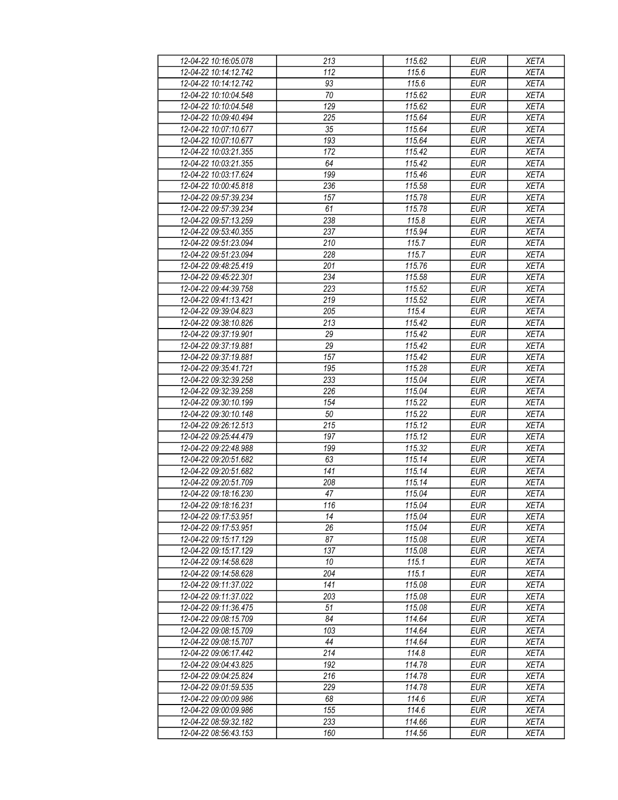| 12-04-22 10:16:05.078 | 213    | 115.62 | <b>EUR</b>        | <b>XETA</b> |
|-----------------------|--------|--------|-------------------|-------------|
| 12-04-22 10:14:12.742 | 112    | 115.6  | <b>EUR</b>        | <b>XETA</b> |
| 12-04-22 10:14:12.742 | 93     | 115.6  | <b>EUR</b>        | <b>XETA</b> |
| 12-04-22 10:10:04.548 | $70\,$ | 115.62 | <b>EUR</b>        | <b>XETA</b> |
| 12-04-22 10:10:04.548 | 129    | 115.62 | <b>EUR</b>        | <b>XETA</b> |
| 12-04-22 10:09:40.494 | 225    | 115.64 | <b>EUR</b>        | <b>XETA</b> |
|                       |        | 115.64 | <b>EUR</b>        |             |
| 12-04-22 10:07:10.677 | 35     |        |                   | <b>XETA</b> |
| 12-04-22 10:07:10.677 | 193    | 115.64 | <b>EUR</b>        | <b>XETA</b> |
| 12-04-22 10:03:21.355 | 172    | 115.42 | <b>EUR</b>        | <b>XETA</b> |
| 12-04-22 10:03:21.355 | 64     | 115.42 | <b>EUR</b>        | <b>XETA</b> |
| 12-04-22 10:03:17.624 | 199    | 115.46 | <b>EUR</b>        | <b>XETA</b> |
| 12-04-22 10:00:45.818 | 236    | 115.58 | <b>EUR</b>        | <b>XETA</b> |
| 12-04-22 09:57:39.234 | 157    | 115.78 | <b>EUR</b>        | <b>XETA</b> |
| 12-04-22 09:57:39.234 | 61     | 115.78 | <b>EUR</b>        | <b>XETA</b> |
| 12-04-22 09:57:13.259 | 238    | 115.8  | <b>EUR</b>        | <b>XETA</b> |
| 12-04-22 09:53:40.355 | 237    | 115.94 | <b>EUR</b>        | <b>XETA</b> |
| 12-04-22 09:51:23.094 | 210    | 115.7  | <b>EUR</b>        | <b>XETA</b> |
| 12-04-22 09:51:23.094 | 228    | 115.7  | <b>EUR</b>        | <b>XETA</b> |
| 12-04-22 09:48:25.419 | 201    | 115.76 | <b>EUR</b>        | <b>XETA</b> |
| 12-04-22 09:45:22.301 | 234    | 115.58 | <b>EUR</b>        | <b>XETA</b> |
| 12-04-22 09:44:39.758 | 223    | 115.52 | <b>EUR</b>        | <b>XETA</b> |
| 12-04-22 09:41:13.421 | 219    | 115.52 | <b>EUR</b>        | <b>XETA</b> |
| 12-04-22 09:39:04.823 | 205    | 115.4  | <b>EUR</b>        | <b>XETA</b> |
| 12-04-22 09:38:10.826 | 213    | 115.42 | <b>EUR</b>        | <b>XETA</b> |
| 12-04-22 09:37:19.901 | 29     | 115.42 | <b>EUR</b>        | <b>XETA</b> |
|                       |        |        |                   |             |
| 12-04-22 09:37:19.881 | 29     | 115.42 | <b>EUR</b>        | <b>XETA</b> |
| 12-04-22 09:37:19.881 | 157    | 115.42 | <b>EUR</b>        | <b>XETA</b> |
| 12-04-22 09:35:41.721 | 195    | 115.28 | <b>EUR</b>        | <b>XETA</b> |
| 12-04-22 09:32:39.258 | 233    | 115.04 | <b>EUR</b>        | <b>XETA</b> |
| 12-04-22 09:32:39.258 | 226    | 115.04 | <b>EUR</b>        | <b>XETA</b> |
| 12-04-22 09:30:10.199 | 154    | 115.22 | <b>EUR</b>        | <b>XETA</b> |
| 12-04-22 09:30:10.148 | 50     | 115.22 | <b>EUR</b>        | <b>XETA</b> |
| 12-04-22 09:26:12.513 | 215    | 115.12 | <b>EUR</b>        | <b>XETA</b> |
| 12-04-22 09:25:44.479 | 197    | 115.12 | <b>EUR</b>        | <b>XETA</b> |
| 12-04-22 09:22:48.988 | 199    | 115.32 | <b>EUR</b>        | <b>XETA</b> |
| 12-04-22 09:20:51.682 | 63     | 115.14 | <b>EUR</b>        | <b>XETA</b> |
| 12-04-22 09:20:51.682 | 141    | 115.14 | <b>EUR</b>        | <b>XETA</b> |
| 12-04-22 09:20:51.709 | 208    | 115.14 | <b>EUR</b>        | <b>XETA</b> |
| 12-04-22 09:18:16.230 | 47     | 115.04 | <b>EUR</b>        | <b>XETA</b> |
| 12-04-22 09:18:16.231 | 116    | 115.04 | $E \overline{UR}$ | <b>XETA</b> |
| 12-04-22 09:17:53.951 | 14     | 115.04 | EUR               | XETA        |
| 12-04-22 09:17:53.951 | 26     | 115.04 | <b>EUR</b>        | <b>XETA</b> |
| 12-04-22 09:15:17.129 | 87     | 115.08 | <b>EUR</b>        | <b>XETA</b> |
| 12-04-22 09:15:17.129 | 137    | 115.08 | <b>EUR</b>        | <b>XETA</b> |
| 12-04-22 09:14:58.628 | 10     | 115.1  | <b>EUR</b>        | <b>XETA</b> |
| 12-04-22 09:14:58.628 | 204    | 115.1  | <b>EUR</b>        | <b>XETA</b> |
|                       |        |        |                   |             |
| 12-04-22 09:11:37.022 | 141    | 115.08 | <b>EUR</b>        | <b>XETA</b> |
| 12-04-22 09:11:37.022 | 203    | 115.08 | <b>EUR</b>        | <b>XETA</b> |
| 12-04-22 09:11:36.475 | 51     | 115.08 | <b>EUR</b>        | <b>XETA</b> |
| 12-04-22 09:08:15.709 | 84     | 114.64 | <b>EUR</b>        | <b>XETA</b> |
| 12-04-22 09:08:15.709 | 103    | 114.64 | <b>EUR</b>        | <b>XETA</b> |
| 12-04-22 09:08:15.707 | 44     | 114.64 | <b>EUR</b>        | <b>XETA</b> |
| 12-04-22 09:06:17.442 | 214    | 114.8  | <b>EUR</b>        | <b>XETA</b> |
| 12-04-22 09:04:43.825 | 192    | 114.78 | EUR               | <b>XETA</b> |
| 12-04-22 09:04:25.824 | 216    | 114.78 | <b>EUR</b>        | <b>XETA</b> |
| 12-04-22 09:01:59.535 | 229    | 114.78 | <b>EUR</b>        | <b>XETA</b> |
| 12-04-22 09:00:09.986 | 68     | 114.6  | <b>EUR</b>        | <b>XETA</b> |
| 12-04-22 09:00:09.986 | 155    | 114.6  | EUR               | XETA        |
| 12-04-22 08:59:32.182 | 233    | 114.66 | EUR               | <b>XETA</b> |
| 12-04-22 08:56:43.153 | 160    | 114.56 | EUR               | XETA        |
|                       |        |        |                   |             |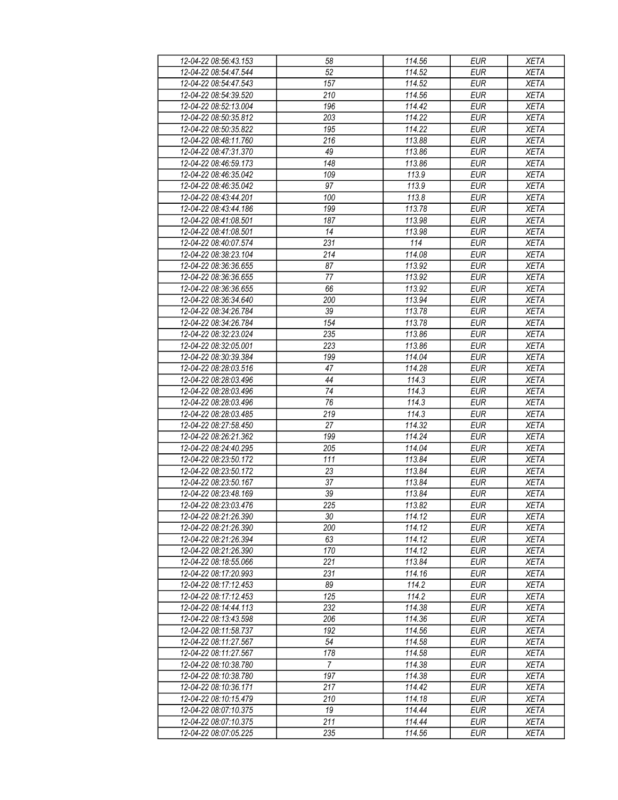| 12-04-22 08:56:43.153                          | 58               | 114.56 | <b>EUR</b> | <b>XETA</b> |
|------------------------------------------------|------------------|--------|------------|-------------|
| 12-04-22 08:54:47.544                          | 52               | 114.52 | <b>EUR</b> | <b>XETA</b> |
| 12-04-22 08:54:47.543                          | 157              | 114.52 | <b>EUR</b> | <b>XETA</b> |
| 12-04-22 08:54:39.520                          | 210              | 114.56 | <b>EUR</b> | <b>XETA</b> |
| 12-04-22 08:52:13.004                          | 196              | 114.42 | <b>EUR</b> | <b>XETA</b> |
| 12-04-22 08:50:35.812                          | 203              | 114.22 | <b>EUR</b> | <b>XETA</b> |
|                                                |                  |        | <b>EUR</b> |             |
| 12-04-22 08:50:35.822                          | 195              | 114.22 |            | <b>XETA</b> |
| 12-04-22 08:48:11.760                          | 216              | 113.88 | <b>EUR</b> | XETA        |
| 12-04-22 08:47:31.370                          | 49               | 113.86 | <b>EUR</b> | <b>XETA</b> |
| 12-04-22 08:46:59.173                          | 148              | 113.86 | <b>EUR</b> | <b>XETA</b> |
| 12-04-22 08:46:35.042                          | 109              | 113.9  | <b>EUR</b> | <b>XETA</b> |
| 12-04-22 08:46:35.042                          | 97               | 113.9  | <b>EUR</b> | <b>XETA</b> |
| 12-04-22 08:43:44.201                          | 100              | 113.8  | <b>EUR</b> | <b>XETA</b> |
| 12-04-22 08:43:44.186                          | 199              | 113.78 | <b>EUR</b> | <b>XETA</b> |
| 12-04-22 08:41:08.501                          | 187              | 113.98 | <b>EUR</b> | <b>XETA</b> |
| 12-04-22 08:41:08.501                          | 14               | 113.98 | <b>EUR</b> | <b>XETA</b> |
| 12-04-22 08:40:07.574                          | 231              | 114    | <b>EUR</b> | <b>XETA</b> |
| 12-04-22 08:38:23.104                          | 214              | 114.08 | <b>EUR</b> | <b>XETA</b> |
| 12-04-22 08:36:36.655                          | 87               | 113.92 | <b>EUR</b> | <b>XETA</b> |
| 12-04-22 08:36:36.655                          | 77               | 113.92 | <b>EUR</b> | <b>XETA</b> |
| 12-04-22 08:36:36.655                          | 66               | 113.92 | <b>EUR</b> | <b>XETA</b> |
| 12-04-22 08:36:34.640                          | 200              | 113.94 | <b>EUR</b> | <b>XETA</b> |
| 12-04-22 08:34:26.784                          | 39               | 113.78 | <b>EUR</b> | <b>XETA</b> |
| 12-04-22 08:34:26.784                          | 154              | 113.78 | <b>EUR</b> | <b>XETA</b> |
| 12-04-22 08:32:23.024                          | 235              | 113.86 | <b>EUR</b> | <b>XETA</b> |
|                                                |                  |        |            |             |
| 12-04-22 08:32:05.001                          | 223              | 113.86 | <b>EUR</b> | <b>XETA</b> |
| 12-04-22 08:30:39.384                          | 199              | 114.04 | <b>EUR</b> | <b>XETA</b> |
| 12-04-22 08:28:03.516                          | 47               | 114.28 | <b>EUR</b> | <b>XETA</b> |
| 12-04-22 08:28:03.496                          | 44               | 114.3  | <b>EUR</b> | <b>XETA</b> |
| 12-04-22 08:28:03.496                          | 74               | 114.3  | <b>EUR</b> | <b>XETA</b> |
| 12-04-22 08:28:03.496                          | 76               | 114.3  | <b>EUR</b> | <b>XETA</b> |
| 12-04-22 08:28:03.485                          | 219              | 114.3  | <b>EUR</b> | <b>XETA</b> |
| 12-04-22 08:27:58.450                          | 27               | 114.32 | <b>EUR</b> | <b>XETA</b> |
| 12-04-22 08:26:21.362                          | 199              | 114.24 | <b>EUR</b> | <b>XETA</b> |
| 12-04-22 08:24:40.295                          | 205              | 114.04 | <b>EUR</b> | <b>XETA</b> |
| 12-04-22 08:23:50.172                          | 111              | 113.84 | <b>EUR</b> | XETA        |
| 12-04-22 08:23:50.172                          | 23               | 113.84 | <b>EUR</b> | XETA        |
| 12-04-22 08:23:50.167                          | 37               | 113.84 | <b>EUR</b> | <b>XETA</b> |
| 12-04-22 08:23:48.169                          | 39               | 113.84 | <b>EUR</b> | <b>XETA</b> |
| 12-04-22 08:23:03.476                          | 225              | 113.82 | <b>EUR</b> | <b>XETA</b> |
| 12-04-22 08:21:26.390                          | 30               | 114.12 | EUR        | XETA        |
| 12-04-22 08:21:26.390                          | 200              | 114.12 | <b>EUR</b> | <b>XETA</b> |
| 12-04-22 08:21:26.394                          | 63               | 114.12 | <b>EUR</b> | <b>XETA</b> |
| 12-04-22 08:21:26.390                          | 170              | 114.12 | <b>EUR</b> | <b>XETA</b> |
|                                                | $\overline{221}$ | 113.84 | <b>EUR</b> |             |
| 12-04-22 08:18:55.066<br>12-04-22 08:17:20.993 |                  |        |            | XETA        |
|                                                | 231              | 114.16 | <b>EUR</b> | <b>XETA</b> |
| 12-04-22 08:17:12.453                          | 89               | 114.2  | <b>EUR</b> | <b>XETA</b> |
| 12-04-22 08:17:12.453                          | 125              | 114.2  | <b>EUR</b> | <b>XETA</b> |
| 12-04-22 08:14:44.113                          | 232              | 114.38 | <b>EUR</b> | <b>XETA</b> |
| 12-04-22 08:13:43.598                          | 206              | 114.36 | EUR        | XETA        |
| 12-04-22 08:11:58.737                          | 192              | 114.56 | <b>EUR</b> | <b>XETA</b> |
| 12-04-22 08:11:27.567                          | 54               | 114.58 | <b>EUR</b> | <b>XETA</b> |
| 12-04-22 08:11:27.567                          | 178              | 114.58 | <b>EUR</b> | <b>XETA</b> |
| 12-04-22 08:10:38.780                          | $\overline{7}$   | 114.38 | EUR        | <b>XETA</b> |
| 12-04-22 08:10:38.780                          | 197              | 114.38 | <b>EUR</b> | <b>XETA</b> |
| 12-04-22 08:10:36.171                          | 217              | 114.42 | <b>EUR</b> | <b>XETA</b> |
| 12-04-22 08:10:15.479                          | 210              | 114.18 | <b>EUR</b> | <b>XETA</b> |
| 12-04-22 08:07:10.375                          | 19               | 114.44 | EUR        | XETA        |
| 12-04-22 08:07:10.375                          | 211              | 114.44 | EUR        | XETA        |
| 12-04-22 08:07:05.225                          | 235              | 114.56 | EUR        | <b>XETA</b> |
|                                                |                  |        |            |             |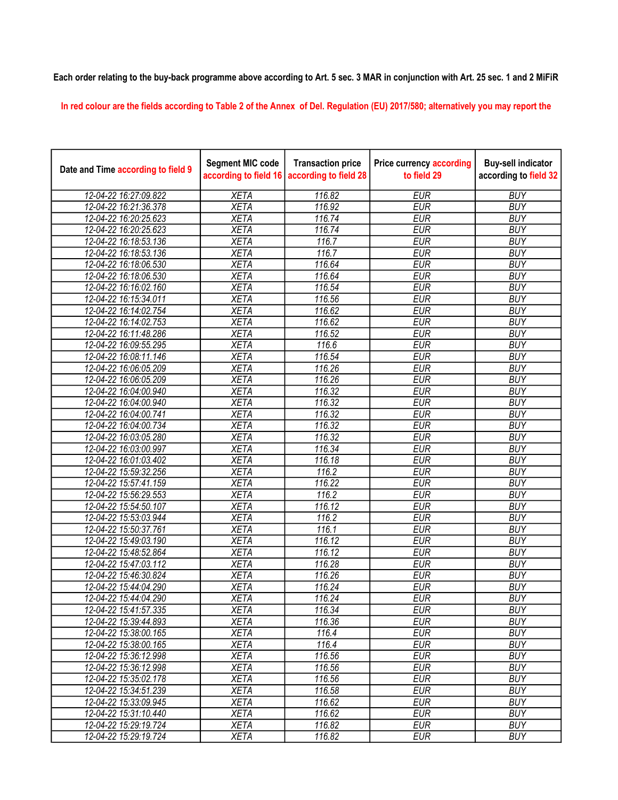## Each order relating to the buy-back programme above according to Art. 5 sec. 3 MAR in conjunction with Art. 25 sec. 1 and 2 MiFiR

In red colour are the fields according to Table 2 of the Annex of Del. Regulation (EU) 2017/580; alternatively you may report the

| Date and Time according to field 9 | <b>Segment MIC code</b><br>according to field 16 | <b>Transaction price</b><br>according to field 28 | <b>Price currency according</b><br>to field 29 | <b>Buy-sell indicator</b><br>according to field 32 |
|------------------------------------|--------------------------------------------------|---------------------------------------------------|------------------------------------------------|----------------------------------------------------|
| 12-04-22 16:27:09.822              | <b>XETA</b>                                      | 116.82                                            | <b>EUR</b>                                     | <b>BUY</b>                                         |
| 12-04-22 16:21:36.378              | <b>XETA</b>                                      | 116.92                                            | <b>EUR</b>                                     | <b>BUY</b>                                         |
| 12-04-22 16:20:25.623              | <b>XETA</b>                                      | 116.74                                            | <b>EUR</b>                                     | <b>BUY</b>                                         |
| 12-04-22 16:20:25.623              | <b>XETA</b>                                      | 116.74                                            | <b>EUR</b>                                     | <b>BUY</b>                                         |
| 12-04-22 16:18:53.136              | <b>XETA</b>                                      | 116.7                                             | <b>EUR</b>                                     | <b>BUY</b>                                         |
| 12-04-22 16:18:53.136              | <b>XETA</b>                                      | 116.7                                             | <b>EUR</b>                                     | <b>BUY</b>                                         |
| 12-04-22 16:18:06.530              | <b>XETA</b>                                      | 116.64                                            | <b>EUR</b>                                     | <b>BUY</b>                                         |
| 12-04-22 16:18:06.530              | <b>XETA</b>                                      | 116.64                                            | <b>EUR</b>                                     | <b>BUY</b>                                         |
| 12-04-22 16:16:02.160              | <b>XETA</b>                                      | 116.54                                            | <b>EUR</b>                                     | <b>BUY</b>                                         |
| 12-04-22 16:15:34.011              | <b>XETA</b>                                      | 116.56                                            | <b>EUR</b>                                     | <b>BUY</b>                                         |
| 12-04-22 16:14:02.754              | <b>XETA</b>                                      | 116.62                                            | <b>EUR</b>                                     | <b>BUY</b>                                         |
| 12-04-22 16:14:02.753              | <b>XETA</b>                                      | 116.62                                            | <b>EUR</b>                                     | <b>BUY</b>                                         |
| 12-04-22 16:11:48.286              | <b>XETA</b>                                      | 116.52                                            | <b>EUR</b>                                     | <b>BUY</b>                                         |
| 12-04-22 16:09:55.295              | <b>XETA</b>                                      | 116.6                                             | <b>EUR</b>                                     | <b>BUY</b>                                         |
| 12-04-22 16:08:11.146              | <b>XETA</b>                                      | 116.54                                            | <b>EUR</b>                                     | <b>BUY</b>                                         |
| 12-04-22 16:06:05.209              | <b>XETA</b>                                      | 116.26                                            | <b>EUR</b>                                     | <b>BUY</b>                                         |
| 12-04-22 16:06:05.209              | <b>XETA</b>                                      | 116.26                                            | <b>EUR</b>                                     | <b>BUY</b>                                         |
| 12-04-22 16:04:00.940              | <b>XETA</b>                                      | 116.32                                            | <b>EUR</b>                                     | <b>BUY</b>                                         |
| 12-04-22 16:04:00.940              | <b>XETA</b>                                      | 116.32                                            | <b>EUR</b>                                     | <b>BUY</b>                                         |
| 12-04-22 16:04:00.741              | <b>XETA</b>                                      | 116.32                                            | <b>EUR</b>                                     | <b>BUY</b>                                         |
| 12-04-22 16:04:00.734              | <b>XETA</b>                                      | 116.32                                            | <b>EUR</b>                                     | <b>BUY</b>                                         |
| 12-04-22 16:03:05.280              | <b>XETA</b>                                      | 116.32                                            | <b>EUR</b>                                     | <b>BUY</b>                                         |
| 12-04-22 16:03:00.997              | <b>XETA</b>                                      | 116.34                                            | <b>EUR</b>                                     | <b>BUY</b>                                         |
| 12-04-22 16:01:03.402              | <b>XETA</b>                                      | 116.18                                            | <b>EUR</b>                                     | <b>BUY</b>                                         |
| 12-04-22 15:59:32.256              | <b>XETA</b>                                      | 116.2                                             | <b>EUR</b>                                     | <b>BUY</b>                                         |
| 12-04-22 15:57:41.159              | <b>XETA</b>                                      | 116.22                                            | <b>EUR</b>                                     | <b>BUY</b>                                         |
| 12-04-22 15:56:29.553              | <b>XETA</b>                                      | 116.2                                             | <b>EUR</b>                                     | <b>BUY</b>                                         |
| 12-04-22 15:54:50.107              | <b>XETA</b>                                      | 116.12                                            | <b>EUR</b>                                     | <b>BUY</b>                                         |
| 12-04-22 15:53:03.944              | <b>XETA</b>                                      | 116.2                                             | <b>EUR</b>                                     | <b>BUY</b>                                         |
| 12-04-22 15:50:37.761              | <b>XETA</b>                                      | 116.1                                             | <b>EUR</b>                                     | <b>BUY</b>                                         |
| 12-04-22 15:49:03.190              | <b>XETA</b>                                      | 116.12                                            | <b>EUR</b>                                     | <b>BUY</b>                                         |
| 12-04-22 15:48:52.864              | <b>XETA</b>                                      | 116.12                                            | <b>EUR</b>                                     | <b>BUY</b>                                         |
| 12-04-22 15:47:03.112              | <b>XETA</b>                                      | 116.28                                            | <b>EUR</b>                                     | <b>BUY</b>                                         |
| 12-04-22 15:46:30.824              | <b>XETA</b>                                      | 116.26                                            | <b>EUR</b>                                     | <b>BUY</b>                                         |
| 12-04-22 15:44:04.290              | <b>XETA</b>                                      | 116.24                                            | <b>EUR</b>                                     | <b>BUY</b>                                         |
| 12-04-22 15:44:04.290              | XETA                                             | 116.24                                            | <b>EUR</b>                                     | <b>BUY</b>                                         |
| 12-04-22 15:41:57.335              | <b>XETA</b>                                      | 116.34                                            | <b>EUR</b>                                     | <b>BUY</b>                                         |
| 12-04-22 15:39:44.893              | <b>XETA</b>                                      | 116.36                                            | <b>EUR</b>                                     | <b>BUY</b>                                         |
| 12-04-22 15:38:00.165              | <b>XETA</b>                                      | 116.4                                             | <b>EUR</b>                                     | <b>BUY</b>                                         |
| 12-04-22 15:38:00.165              | <b>XETA</b>                                      | 116.4                                             | <b>EUR</b>                                     | <b>BUY</b>                                         |
| 12-04-22 15:36:12.998              | <b>XETA</b>                                      | 116.56                                            | <b>EUR</b>                                     | <b>BUY</b>                                         |
| 12-04-22 15:36:12.998              | <b>XETA</b>                                      | 116.56                                            | <b>EUR</b>                                     | <b>BUY</b>                                         |
| 12-04-22 15:35:02.178              | <b>XETA</b>                                      | 116.56                                            | <b>EUR</b>                                     | <b>BUY</b>                                         |
| 12-04-22 15:34:51.239              | <b>XETA</b>                                      | 116.58                                            | <b>EUR</b>                                     | <b>BUY</b>                                         |
| 12-04-22 15:33:09.945              | <b>XETA</b>                                      | 116.62                                            | <b>EUR</b>                                     | <b>BUY</b>                                         |
| 12-04-22 15:31:10.440              | <b>XETA</b>                                      | 116.62                                            | <b>EUR</b>                                     | <b>BUY</b>                                         |
| 12-04-22 15:29:19.724              | <b>XETA</b>                                      | 116.82                                            | <b>EUR</b>                                     | <b>BUY</b>                                         |
| 12-04-22 15:29:19.724              | <b>XETA</b>                                      | 116.82                                            | <b>EUR</b>                                     | <b>BUY</b>                                         |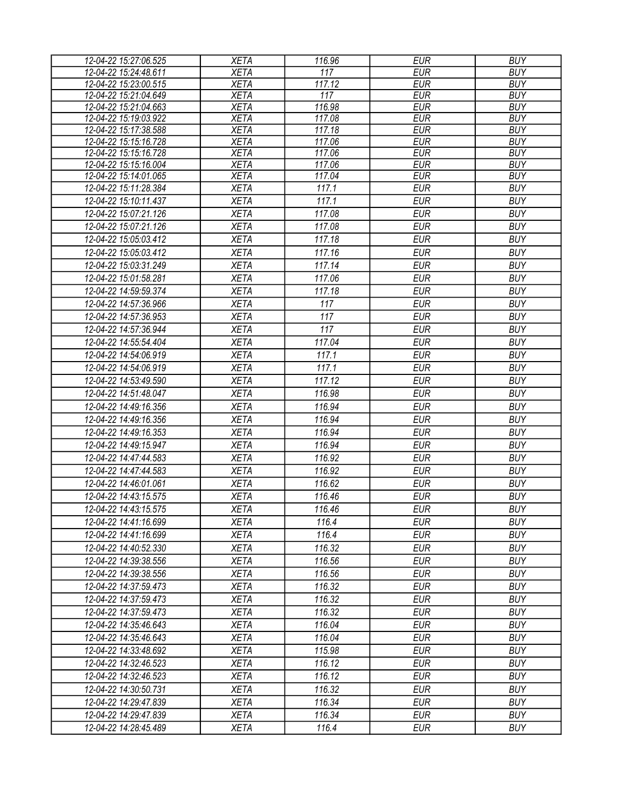| 12-04-22 15:27:06.525                          | <b>XETA</b>                | 116.96           | <b>EUR</b>               | <b>BUY</b>               |
|------------------------------------------------|----------------------------|------------------|--------------------------|--------------------------|
| 12-04-22 15:24:48.611                          | <b>XETA</b>                | 117              | <b>EUR</b>               | <b>BUY</b>               |
| 12-04-22 15:23:00.515                          | <b>XETA</b>                | 117.12           | <b>EUR</b>               | <b>BUY</b>               |
| 12-04-22 15:21:04.649                          | <b>XETA</b>                | $\overline{117}$ | <b>EUR</b>               | <b>BUY</b>               |
| 12-04-22 15:21:04.663                          | <b>XETA</b>                | 116.98           | <b>EUR</b>               | <b>BUY</b>               |
| 12-04-22 15:19:03.922                          | <b>XETA</b>                | 117.08           | <b>EUR</b>               | <b>BUY</b>               |
| 12-04-22 15:17:38.588                          | <b>XETA</b>                | 117.18           | <b>EUR</b>               | <b>BUY</b>               |
| 12-04-22 15:15:16.728                          | <b>XETA</b>                | 117.06           | <b>EUR</b>               | <b>BUY</b>               |
| 12-04-22 15:15:16.728                          | <b>XETA</b>                | 117.06           | <b>EUR</b>               | <b>BUY</b>               |
| 12-04-22 15:15:16.004                          | <b>XETA</b><br><b>XETA</b> | 117.06<br>117.04 | <b>EUR</b><br><b>EUR</b> | <b>BUY</b><br><b>BUY</b> |
| 12-04-22 15:14:01.065<br>12-04-22 15:11:28.384 | <b>XETA</b>                | 117.1            | <b>EUR</b>               | <b>BUY</b>               |
|                                                |                            |                  |                          |                          |
| 12-04-22 15:10:11.437                          | <b>XETA</b>                | 117.1            | <b>EUR</b>               | <b>BUY</b>               |
| 12-04-22 15:07:21.126                          | <b>XETA</b>                | 117.08           | <b>EUR</b>               | <b>BUY</b>               |
| 12-04-22 15:07:21.126                          | <b>XETA</b>                | 117.08           | <b>EUR</b>               | <b>BUY</b>               |
| 12-04-22 15:05:03.412                          | <b>XETA</b>                | 117.18           | <b>EUR</b>               | <b>BUY</b>               |
| 12-04-22 15:05:03.412                          | <b>XETA</b>                | 117.16           | <b>EUR</b>               | <b>BUY</b>               |
| 12-04-22 15:03:31.249                          | <b>XETA</b>                | 117.14           | <b>EUR</b>               | <b>BUY</b>               |
| 12-04-22 15:01:58.281                          | <b>XETA</b>                | 117.06           | <b>EUR</b>               | <b>BUY</b>               |
| 12-04-22 14:59:59.374                          | <b>XETA</b>                | 117.18           | <b>EUR</b>               | <b>BUY</b>               |
| 12-04-22 14:57:36.966                          | <b>XETA</b>                | 117              | <b>EUR</b>               | <b>BUY</b>               |
| 12-04-22 14:57:36.953                          | <b>XETA</b>                | 117              | <b>EUR</b>               | <b>BUY</b>               |
| 12-04-22 14:57:36.944                          | <b>XETA</b>                | 117              | <b>EUR</b>               | <b>BUY</b>               |
| 12-04-22 14:55:54.404                          | <b>XETA</b>                | 117.04           | <b>EUR</b>               | <b>BUY</b>               |
| 12-04-22 14:54:06.919                          | <b>XETA</b>                | 117.1            | <b>EUR</b>               | <b>BUY</b>               |
| 12-04-22 14:54:06.919                          | <b>XETA</b>                | 117.1            | <b>EUR</b>               | <b>BUY</b>               |
| 12-04-22 14:53:49.590                          | <b>XETA</b>                | 117.12           | <b>EUR</b>               | <b>BUY</b>               |
| 12-04-22 14:51:48.047                          | <b>XETA</b>                | 116.98           | <b>EUR</b>               | <b>BUY</b>               |
| 12-04-22 14:49:16.356                          | <b>XETA</b>                | 116.94           | <b>EUR</b>               | <b>BUY</b>               |
| 12-04-22 14:49:16.356                          | <b>XETA</b>                | 116.94           | <b>EUR</b>               | <b>BUY</b>               |
| 12-04-22 14:49:16.353                          | <b>XETA</b>                | 116.94           | <b>EUR</b>               | <b>BUY</b>               |
| 12-04-22 14:49:15.947                          | <b>XETA</b>                | 116.94           | <b>EUR</b>               | <b>BUY</b>               |
|                                                |                            |                  |                          |                          |
| 12-04-22 14:47:44.583                          | <b>XETA</b>                | 116.92           | <b>EUR</b>               | <b>BUY</b>               |
| 12-04-22 14:47:44.583                          | <b>XETA</b>                | 116.92           | <b>EUR</b>               | <b>BUY</b>               |
| 12-04-22 14:46:01.061                          | <b>XETA</b>                | 116.62           | <b>EUR</b>               | <b>BUY</b>               |
| 12-04-22 14:43:15.575                          | <b>XETA</b>                | 116.46           | <b>EUR</b>               | <b>BUY</b>               |
| 12-04-22 14:43:15.575                          | <b>XETA</b>                | 116.46           | <b>EUR</b>               | <b>BUY</b>               |
| 12-04-22 14:41:16.699                          | <b>XETA</b>                | 116.4            | EUR                      | <b>BUY</b>               |
| 12-04-22 14:41:16.699                          | <b>XETA</b>                | 116.4            | EUR                      | <b>BUY</b>               |
| 12-04-22 14:40:52.330                          | <b>XETA</b>                | 116.32           | <b>EUR</b>               | <b>BUY</b>               |
| 12-04-22 14:39:38.556                          | <b>XETA</b>                | 116.56           | <b>EUR</b>               | <b>BUY</b>               |
| 12-04-22 14:39:38.556                          | <b>XETA</b>                | 116.56           | <b>EUR</b>               | <b>BUY</b>               |
| 12-04-22 14:37:59.473                          | <b>XETA</b>                | 116.32           | <b>EUR</b>               | <b>BUY</b>               |
| 12-04-22 14:37:59.473                          | <b>XETA</b>                | 116.32           | <b>EUR</b>               | <b>BUY</b>               |
| 12-04-22 14:37:59.473                          | <b>XETA</b>                | 116.32           | <b>EUR</b>               | <b>BUY</b>               |
| 12-04-22 14:35:46.643                          | <b>XETA</b>                | 116.04           | <b>EUR</b>               | <b>BUY</b>               |
| 12-04-22 14:35:46.643                          | <b>XETA</b>                | 116.04           | EUR                      | <b>BUY</b>               |
| 12-04-22 14:33:48.692                          | <b>XETA</b>                | 115.98           | <b>EUR</b>               | <b>BUY</b>               |
| 12-04-22 14:32:46.523                          | <b>XETA</b>                | 116.12           | <b>EUR</b>               | <b>BUY</b>               |
| 12-04-22 14:32:46.523                          | <b>XETA</b>                | 116.12           | <b>EUR</b>               | <b>BUY</b>               |
| 12-04-22 14:30:50.731                          | <b>XETA</b>                | 116.32           | <b>EUR</b>               | <b>BUY</b>               |
| 12-04-22 14:29:47.839                          | <b>XETA</b>                | 116.34           | <b>EUR</b>               | <b>BUY</b>               |
| 12-04-22 14:29:47.839                          | <b>XETA</b>                | 116.34           | <b>EUR</b>               | <b>BUY</b>               |
| 12-04-22 14:28:45.489                          | <b>XETA</b>                | 116.4            | <b>EUR</b>               | <b>BUY</b>               |
|                                                |                            |                  |                          |                          |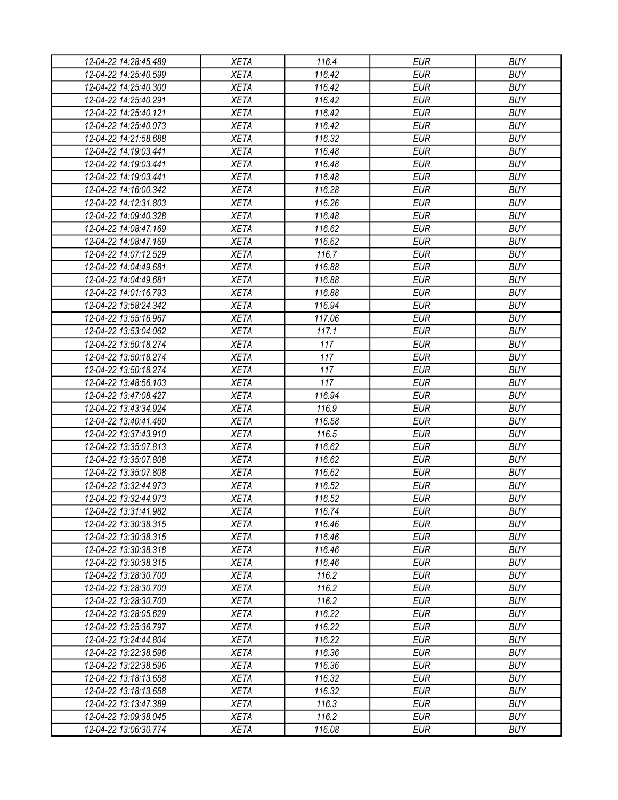| 12-04-22 14:28:45.489 | XETA                       | 116.4            | <b>EUR</b> | <b>BUY</b>               |
|-----------------------|----------------------------|------------------|------------|--------------------------|
| 12-04-22 14:25:40.599 | <b>XETA</b>                | 116.42           | <b>EUR</b> | <b>BUY</b>               |
| 12-04-22 14:25:40.300 | <b>XETA</b>                | 116.42           | <b>EUR</b> | <b>BUY</b>               |
| 12-04-22 14:25:40.291 | <b>XETA</b>                | 116.42           | <b>EUR</b> | <b>BUY</b>               |
| 12-04-22 14:25:40.121 | <b>XETA</b>                | 116.42           | <b>EUR</b> | <b>BUY</b>               |
| 12-04-22 14:25:40.073 | <b>XETA</b>                | 116.42           | <b>EUR</b> | <b>BUY</b>               |
| 12-04-22 14:21:58.688 | <b>XETA</b>                | 116.32           | <b>EUR</b> | <b>BUY</b>               |
| 12-04-22 14:19:03.441 | <b>XETA</b>                | 116.48           | <b>EUR</b> | <b>BUY</b>               |
| 12-04-22 14:19:03.441 | <b>XETA</b>                | 116.48           | <b>EUR</b> | <b>BUY</b>               |
| 12-04-22 14:19:03.441 | <b>XETA</b>                | 116.48           | <b>EUR</b> | <b>BUY</b>               |
| 12-04-22 14:16:00.342 | <b>XETA</b>                | 116.28           | <b>EUR</b> | <b>BUY</b>               |
| 12-04-22 14:12:31.803 | <b>XETA</b>                | 116.26           | <b>EUR</b> | <b>BUY</b>               |
| 12-04-22 14:09:40.328 | <b>XETA</b>                | 116.48           | <b>EUR</b> | <b>BUY</b>               |
| 12-04-22 14:08:47.169 | <b>XETA</b>                | 116.62           | <b>EUR</b> | <b>BUY</b>               |
| 12-04-22 14:08:47.169 | <b>XETA</b>                | 116.62           | <b>EUR</b> | <b>BUY</b>               |
| 12-04-22 14:07:12.529 | <b>XETA</b>                | 116.7            | <b>EUR</b> | <b>BUY</b>               |
| 12-04-22 14:04:49.681 | <b>XETA</b>                | 116.88           | <b>EUR</b> | <b>BUY</b>               |
| 12-04-22 14:04:49.681 | <b>XETA</b>                | 116.88           | <b>EUR</b> | <b>BUY</b>               |
| 12-04-22 14:01:16.793 | <b>XETA</b>                | 116.88           | <b>EUR</b> | <b>BUY</b>               |
| 12-04-22 13:58:24.342 | <b>XETA</b>                | 116.94           | <b>EUR</b> | <b>BUY</b>               |
| 12-04-22 13:55:16.967 | <b>XETA</b>                | 117.06           | <b>EUR</b> | <b>BUY</b>               |
| 12-04-22 13:53:04.062 | <b>XETA</b>                | 117.1            | <b>EUR</b> | <b>BUY</b>               |
| 12-04-22 13:50:18.274 | <b>XETA</b>                | 117              | <b>EUR</b> | <b>BUY</b>               |
| 12-04-22 13:50:18.274 | <b>XETA</b>                | 117              | <b>EUR</b> | <b>BUY</b>               |
| 12-04-22 13:50:18.274 | <b>XETA</b>                | 117              | <b>EUR</b> | <b>BUY</b>               |
| 12-04-22 13:48:56.103 | <b>XETA</b>                | 117              | <b>EUR</b> | <b>BUY</b>               |
| 12-04-22 13:47:08.427 | <b>XETA</b>                | 116.94           | <b>EUR</b> | <b>BUY</b>               |
| 12-04-22 13:43:34.924 | <b>XETA</b>                | 116.9            | <b>EUR</b> | <b>BUY</b>               |
| 12-04-22 13:40:41.460 | <b>XETA</b>                | 116.58           | <b>EUR</b> | <b>BUY</b>               |
| 12-04-22 13:37:43.910 | <b>XETA</b>                | 116.5            | <b>EUR</b> | <b>BUY</b>               |
| 12-04-22 13:35:07.813 | <b>XETA</b>                | 116.62           | <b>EUR</b> | <b>BUY</b>               |
| 12-04-22 13:35:07.808 | <b>XETA</b>                | 116.62           | <b>EUR</b> | <b>BUY</b>               |
| 12-04-22 13:35:07.808 | <b>XETA</b>                | 116.62           | <b>EUR</b> | <b>BUY</b>               |
|                       |                            | 116.52           | <b>EUR</b> | <b>BUY</b>               |
| 12-04-22 13:32:44.973 | <b>XETA</b>                |                  | <b>EUR</b> |                          |
| 12-04-22 13:32:44.973 | <b>XETA</b><br><b>XETA</b> | 116.52<br>116.74 |            | <b>BUY</b><br><b>BUY</b> |
| 12-04-22 13:31:41.982 |                            |                  | <b>EUR</b> |                          |
| 12-04-22 13:30:38.315 | <b>XETA</b>                | 116.46           | <b>EUR</b> | <b>BUY</b>               |
| 12-04-22 13:30:38.315 | <b>XETA</b>                | 116.46           | <b>EUR</b> | <b>BUY</b>               |
| 12-04-22 13:30:38.318 | <b>XETA</b>                | 116.46           | <b>EUR</b> | <b>BUY</b>               |
| 12-04-22 13:30:38.315 | <b>XETA</b>                | 116.46           | <b>EUR</b> | <b>BUY</b>               |
| 12-04-22 13:28:30.700 | <b>XETA</b>                | 116.2            | <b>EUR</b> | <b>BUY</b>               |
| 12-04-22 13:28:30.700 | <b>XETA</b>                | 116.2            | <b>EUR</b> | <b>BUY</b>               |
| 12-04-22 13:28:30.700 | <b>XETA</b>                | 116.2            | <b>EUR</b> | <b>BUY</b>               |
| 12-04-22 13:28:05.629 | <b>XETA</b>                | 116.22           | <b>EUR</b> | <b>BUY</b>               |
| 12-04-22 13:25:36.797 | <b>XETA</b>                | 116.22           | <b>EUR</b> | <b>BUY</b>               |
| 12-04-22 13:24:44.804 | <b>XETA</b>                | 116.22           | <b>EUR</b> | <b>BUY</b>               |
| 12-04-22 13:22:38.596 | <b>XETA</b>                | 116.36           | <b>EUR</b> | <b>BUY</b>               |
| 12-04-22 13:22:38.596 | <b>XETA</b>                | 116.36           | <b>EUR</b> | <b>BUY</b>               |
| 12-04-22 13:18:13.658 | <b>XETA</b>                | 116.32           | <b>EUR</b> | <b>BUY</b>               |
| 12-04-22 13:18:13.658 | <b>XETA</b>                | 116.32           | <b>EUR</b> | <b>BUY</b>               |
| 12-04-22 13:13:47.389 | <b>XETA</b>                | 116.3            | EUR        | <b>BUY</b>               |
| 12-04-22 13:09:38.045 | <b>XETA</b>                | 116.2            | <b>EUR</b> | <b>BUY</b>               |
| 12-04-22 13:06:30.774 | <b>XETA</b>                | 116.08           | <b>EUR</b> | <b>BUY</b>               |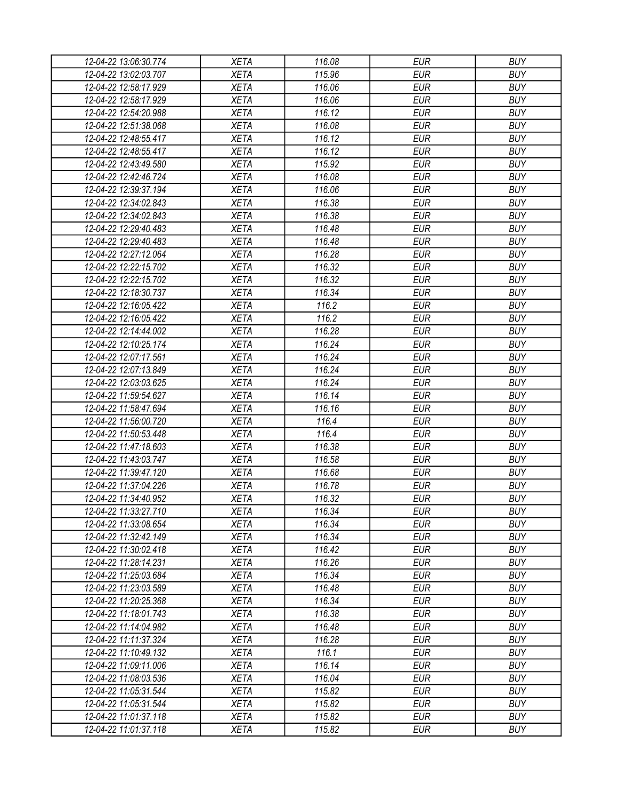| 12-04-22 13:06:30.774 | <b>XETA</b> | 116.08 | <b>EUR</b> | <b>BUY</b> |
|-----------------------|-------------|--------|------------|------------|
| 12-04-22 13:02:03.707 | <b>XETA</b> | 115.96 | <b>EUR</b> | <b>BUY</b> |
| 12-04-22 12:58:17.929 | <b>XETA</b> | 116.06 | <b>EUR</b> | <b>BUY</b> |
| 12-04-22 12:58:17.929 | <b>XETA</b> | 116.06 | <b>EUR</b> | <b>BUY</b> |
| 12-04-22 12:54:20.988 | <b>XETA</b> | 116.12 | <b>EUR</b> | <b>BUY</b> |
| 12-04-22 12:51:38.068 | <b>XETA</b> | 116.08 | <b>EUR</b> | <b>BUY</b> |
| 12-04-22 12:48:55.417 | <b>XETA</b> | 116.12 | <b>EUR</b> | <b>BUY</b> |
| 12-04-22 12:48:55.417 | <b>XETA</b> | 116.12 | <b>EUR</b> | <b>BUY</b> |
| 12-04-22 12:43:49.580 | <b>XETA</b> | 115.92 | <b>EUR</b> | <b>BUY</b> |
| 12-04-22 12:42:46.724 | <b>XETA</b> | 116.08 | <b>EUR</b> | <b>BUY</b> |
| 12-04-22 12:39:37.194 | <b>XETA</b> | 116.06 | <b>EUR</b> | <b>BUY</b> |
| 12-04-22 12:34:02.843 | <b>XETA</b> | 116.38 | <b>EUR</b> | <b>BUY</b> |
| 12-04-22 12:34:02.843 | <b>XETA</b> | 116.38 | <b>EUR</b> | <b>BUY</b> |
| 12-04-22 12:29:40.483 | <b>XETA</b> | 116.48 | <b>EUR</b> | <b>BUY</b> |
| 12-04-22 12:29:40.483 | <b>XETA</b> | 116.48 | <b>EUR</b> | <b>BUY</b> |
| 12-04-22 12:27:12.064 | <b>XETA</b> | 116.28 | <b>EUR</b> | <b>BUY</b> |
| 12-04-22 12:22:15.702 | <b>XETA</b> | 116.32 | <b>EUR</b> | <b>BUY</b> |
| 12-04-22 12:22:15.702 | <b>XETA</b> | 116.32 | <b>EUR</b> | <b>BUY</b> |
| 12-04-22 12:18:30.737 | <b>XETA</b> | 116.34 | <b>EUR</b> | <b>BUY</b> |
| 12-04-22 12:16:05.422 | <b>XETA</b> | 116.2  | <b>EUR</b> | <b>BUY</b> |
| 12-04-22 12:16:05.422 | <b>XETA</b> | 116.2  | <b>EUR</b> | <b>BUY</b> |
| 12-04-22 12:14:44.002 | <b>XETA</b> | 116.28 | <b>EUR</b> | <b>BUY</b> |
| 12-04-22 12:10:25.174 | <b>XETA</b> | 116.24 | <b>EUR</b> | <b>BUY</b> |
| 12-04-22 12:07:17.561 | <b>XETA</b> | 116.24 | <b>EUR</b> | <b>BUY</b> |
| 12-04-22 12:07:13.849 | <b>XETA</b> | 116.24 | <b>EUR</b> | <b>BUY</b> |
| 12-04-22 12:03:03.625 | <b>XETA</b> | 116.24 | <b>EUR</b> | <b>BUY</b> |
| 12-04-22 11:59:54.627 | <b>XETA</b> | 116.14 | <b>EUR</b> | <b>BUY</b> |
| 12-04-22 11:58:47.694 | <b>XETA</b> | 116.16 | <b>EUR</b> | <b>BUY</b> |
| 12-04-22 11:56:00.720 | <b>XETA</b> | 116.4  | <b>EUR</b> | <b>BUY</b> |
| 12-04-22 11:50:53.448 | <b>XETA</b> | 116.4  | <b>EUR</b> | <b>BUY</b> |
| 12-04-22 11:47:18.603 | <b>XETA</b> | 116.38 | <b>EUR</b> | <b>BUY</b> |
| 12-04-22 11:43:03.747 | <b>XETA</b> | 116.58 | <b>EUR</b> | <b>BUY</b> |
| 12-04-22 11:39:47.120 | <b>XETA</b> | 116.68 | <b>EUR</b> | <b>BUY</b> |
| 12-04-22 11:37:04.226 | <b>XETA</b> | 116.78 | <b>EUR</b> | <b>BUY</b> |
| 12-04-22 11:34:40.952 | <b>XETA</b> | 116.32 | <b>EUR</b> | <b>BUY</b> |
| 12-04-22 11:33:27.710 | <b>XETA</b> | 116.34 | <b>EUR</b> | <b>BUY</b> |
| 12-04-22 11:33:08.654 | <b>XETA</b> | 116.34 | <b>EUR</b> | <b>BUY</b> |
| 12-04-22 11:32:42.149 | <b>XETA</b> | 116.34 | <b>EUR</b> | <b>BUY</b> |
| 12-04-22 11:30:02.418 | <b>XETA</b> | 116.42 | <b>EUR</b> | <b>BUY</b> |
| 12-04-22 11:28:14.231 | <b>XETA</b> | 116.26 | <b>EUR</b> | <b>BUY</b> |
| 12-04-22 11:25:03.684 | <b>XETA</b> | 116.34 | <b>EUR</b> | <b>BUY</b> |
| 12-04-22 11:23:03.589 | <b>XETA</b> | 116.48 | <b>EUR</b> | <b>BUY</b> |
| 12-04-22 11:20:25.368 | <b>XETA</b> | 116.34 | <b>EUR</b> | <b>BUY</b> |
| 12-04-22 11:18:01.743 | <b>XETA</b> | 116.38 | <b>EUR</b> | <b>BUY</b> |
| 12-04-22 11:14:04.982 | <b>XETA</b> | 116.48 | <b>EUR</b> | <b>BUY</b> |
| 12-04-22 11:11:37.324 | <b>XETA</b> | 116.28 | <b>EUR</b> | <b>BUY</b> |
| 12-04-22 11:10:49.132 | <b>XETA</b> | 116.1  | <b>EUR</b> | <b>BUY</b> |
| 12-04-22 11:09:11.006 | <b>XETA</b> | 116.14 | <b>EUR</b> | <b>BUY</b> |
| 12-04-22 11:08:03.536 | <b>XETA</b> | 116.04 | <b>EUR</b> | <b>BUY</b> |
| 12-04-22 11:05:31.544 | <b>XETA</b> | 115.82 | <b>EUR</b> | <b>BUY</b> |
| 12-04-22 11:05:31.544 | <b>XETA</b> | 115.82 | <b>EUR</b> | <b>BUY</b> |
| 12-04-22 11:01:37.118 | <b>XETA</b> | 115.82 | <b>EUR</b> | <b>BUY</b> |
| 12-04-22 11:01:37.118 | <b>XETA</b> | 115.82 | <b>EUR</b> | <b>BUY</b> |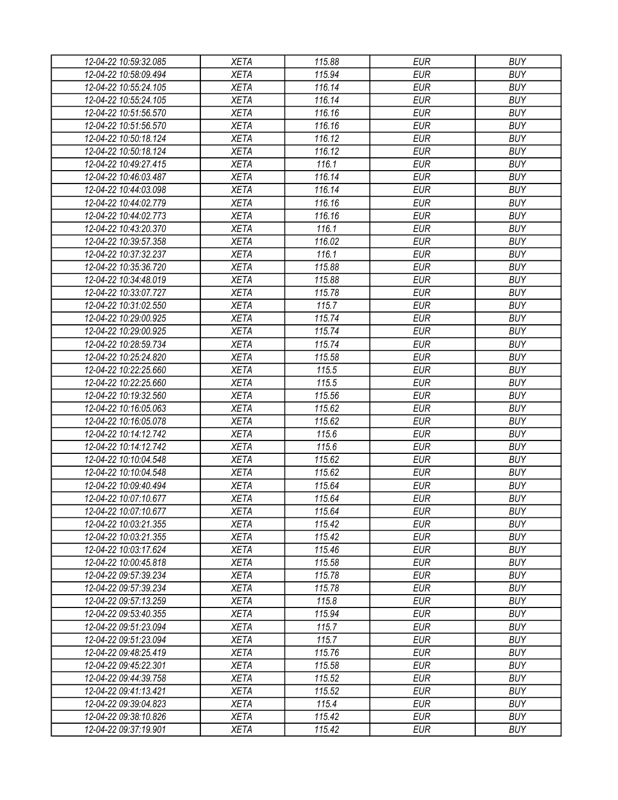| 12-04-22 10:59:32.085 | <b>XETA</b> | 115.88           | <b>EUR</b>               | <b>BUY</b>               |
|-----------------------|-------------|------------------|--------------------------|--------------------------|
| 12-04-22 10:58:09.494 | <b>XETA</b> | 115.94           | <b>EUR</b>               | <b>BUY</b>               |
| 12-04-22 10:55:24.105 | <b>XETA</b> | 116.14           | <b>EUR</b>               | <b>BUY</b>               |
| 12-04-22 10:55:24.105 | <b>XETA</b> | 116.14           | <b>EUR</b>               | <b>BUY</b>               |
| 12-04-22 10:51:56.570 | <b>XETA</b> | 116.16           | <b>EUR</b>               | <b>BUY</b>               |
| 12-04-22 10:51:56.570 | <b>XETA</b> | 116.16           | <b>EUR</b>               | <b>BUY</b>               |
| 12-04-22 10:50:18.124 | <b>XETA</b> | 116.12           | <b>EUR</b>               | <b>BUY</b>               |
| 12-04-22 10:50:18.124 | <b>XETA</b> | 116.12           | <b>EUR</b>               | <b>BUY</b>               |
| 12-04-22 10:49:27.415 | <b>XETA</b> | 116.1            | <b>EUR</b>               | <b>BUY</b>               |
| 12-04-22 10:46:03.487 | <b>XETA</b> | 116.14           | <b>EUR</b>               | <b>BUY</b>               |
| 12-04-22 10:44:03.098 | <b>XETA</b> | 116.14           | <b>EUR</b>               | <b>BUY</b>               |
| 12-04-22 10:44:02.779 | <b>XETA</b> | 116.16           | <b>EUR</b>               | <b>BUY</b>               |
| 12-04-22 10:44:02.773 | <b>XETA</b> | 116.16           | <b>EUR</b>               | <b>BUY</b>               |
| 12-04-22 10:43:20.370 | <b>XETA</b> | 116.1            | <b>EUR</b>               | <b>BUY</b>               |
| 12-04-22 10:39:57.358 | <b>XETA</b> | 116.02           | <b>EUR</b>               | <b>BUY</b>               |
| 12-04-22 10:37:32.237 | <b>XETA</b> | 116.1            | <b>EUR</b>               | <b>BUY</b>               |
| 12-04-22 10:35:36.720 | <b>XETA</b> | 115.88           | <b>EUR</b>               | <b>BUY</b>               |
| 12-04-22 10:34:48.019 | <b>XETA</b> | 115.88           | <b>EUR</b>               | <b>BUY</b>               |
| 12-04-22 10:33:07.727 | <b>XETA</b> | 115.78           | <b>EUR</b>               | <b>BUY</b>               |
| 12-04-22 10:31:02.550 | <b>XETA</b> | 115.7            | <b>EUR</b>               | <b>BUY</b>               |
| 12-04-22 10:29:00.925 | <b>XETA</b> | 115.74           | <b>EUR</b>               | <b>BUY</b>               |
| 12-04-22 10:29:00.925 | <b>XETA</b> | 115.74           | <b>EUR</b>               | <b>BUY</b>               |
| 12-04-22 10:28:59.734 | <b>XETA</b> | 115.74           | <b>EUR</b>               | <b>BUY</b>               |
| 12-04-22 10:25:24.820 | <b>XETA</b> | 115.58           | <b>EUR</b>               | <b>BUY</b>               |
| 12-04-22 10:22:25.660 | <b>XETA</b> | 115.5            | <b>EUR</b>               | <b>BUY</b>               |
| 12-04-22 10:22:25.660 | <b>XETA</b> | 115.5            | <b>EUR</b>               | <b>BUY</b>               |
| 12-04-22 10:19:32.560 | <b>XETA</b> | 115.56           | <b>EUR</b>               | <b>BUY</b>               |
| 12-04-22 10:16:05.063 | <b>XETA</b> | 115.62           | <b>EUR</b>               | <b>BUY</b>               |
| 12-04-22 10:16:05.078 | <b>XETA</b> | 115.62           | <b>EUR</b>               | <b>BUY</b>               |
| 12-04-22 10:14:12.742 | <b>XETA</b> | 115.6            | <b>EUR</b>               | <b>BUY</b>               |
| 12-04-22 10:14:12.742 | <b>XETA</b> | 115.6            | <b>EUR</b>               | <b>BUY</b>               |
| 12-04-22 10:10:04.548 | <b>XETA</b> | 115.62           | <b>EUR</b>               | <b>BUY</b>               |
| 12-04-22 10:10:04.548 | <b>XETA</b> | 115.62           | <b>EUR</b>               | <b>BUY</b>               |
| 12-04-22 10:09:40.494 | <b>XETA</b> | 115.64           | <b>EUR</b>               | <b>BUY</b>               |
|                       |             |                  | <b>EUR</b>               | <b>BUY</b>               |
| 12-04-22 10:07:10.677 | <b>XETA</b> | 115.64           |                          |                          |
| 12-04-22 10:07:10.677 | <b>XETA</b> | 115.64<br>115.42 | <b>EUR</b><br><b>EUR</b> | <b>BUY</b><br><b>BUY</b> |
| 12-04-22 10:03:21.355 | <b>XETA</b> |                  |                          |                          |
| 12-04-22 10:03:21.355 | <b>XETA</b> | 115.42           | <b>EUR</b>               | <b>BUY</b>               |
| 12-04-22 10:03:17.624 | <b>XETA</b> | 115.46           | <b>EUR</b>               | <b>BUY</b>               |
| 12-04-22 10:00:45.818 | <b>XETA</b> | 115.58           | <b>EUR</b>               | <b>BUY</b>               |
| 12-04-22 09:57:39.234 | <b>XETA</b> | 115.78           | <b>EUR</b>               | <b>BUY</b>               |
| 12-04-22 09:57:39.234 | <b>XETA</b> | 115.78           | <b>EUR</b>               | <b>BUY</b>               |
| 12-04-22 09:57:13.259 | <b>XETA</b> | 115.8            | <b>EUR</b>               | <b>BUY</b>               |
| 12-04-22 09:53:40.355 | <b>XETA</b> | 115.94           | <b>EUR</b>               | <b>BUY</b>               |
| 12-04-22 09:51:23.094 | <b>XETA</b> | 115.7            | <b>EUR</b>               | <b>BUY</b>               |
| 12-04-22 09:51:23.094 | <b>XETA</b> | 115.7            | <b>EUR</b>               | <b>BUY</b>               |
| 12-04-22 09:48:25.419 | <b>XETA</b> | 115.76           | <b>EUR</b>               | <b>BUY</b>               |
| 12-04-22 09:45:22.301 | <b>XETA</b> | 115.58           | <b>EUR</b>               | <b>BUY</b>               |
| 12-04-22 09:44:39.758 | <b>XETA</b> | 115.52           | <b>EUR</b>               | <b>BUY</b>               |
| 12-04-22 09:41:13.421 | <b>XETA</b> | 115.52           | <b>EUR</b>               | <b>BUY</b>               |
| 12-04-22 09:39:04.823 | <b>XETA</b> | 115.4            | <b>EUR</b>               | <b>BUY</b>               |
| 12-04-22 09:38:10.826 | <b>XETA</b> | 115.42           | <b>EUR</b>               | <b>BUY</b>               |
| 12-04-22 09:37:19.901 | <b>XETA</b> | 115.42           | <b>EUR</b>               | <b>BUY</b>               |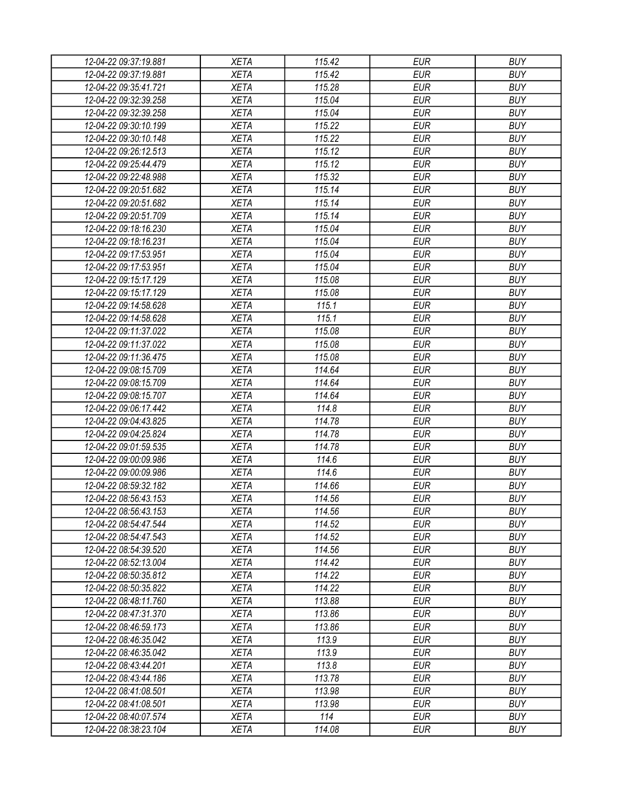| 12-04-22 09:37:19.881 | <b>XETA</b> | 115.42 | <b>EUR</b> | <b>BUY</b> |
|-----------------------|-------------|--------|------------|------------|
| 12-04-22 09:37:19.881 | <b>XETA</b> | 115.42 | <b>EUR</b> | <b>BUY</b> |
| 12-04-22 09:35:41.721 | <b>XETA</b> | 115.28 | <b>EUR</b> | <b>BUY</b> |
| 12-04-22 09:32:39.258 | <b>XETA</b> | 115.04 | <b>EUR</b> | <b>BUY</b> |
| 12-04-22 09:32:39.258 | <b>XETA</b> | 115.04 | <b>EUR</b> | <b>BUY</b> |
| 12-04-22 09:30:10.199 | <b>XETA</b> | 115.22 | <b>EUR</b> | <b>BUY</b> |
| 12-04-22 09:30:10.148 | <b>XETA</b> | 115.22 | <b>EUR</b> | <b>BUY</b> |
| 12-04-22 09:26:12.513 | <b>XETA</b> | 115.12 | <b>EUR</b> | <b>BUY</b> |
| 12-04-22 09:25:44.479 | <b>XETA</b> | 115.12 | <b>EUR</b> | <b>BUY</b> |
| 12-04-22 09:22:48.988 | <b>XETA</b> | 115.32 | <b>EUR</b> | <b>BUY</b> |
| 12-04-22 09:20:51.682 | <b>XETA</b> | 115.14 | <b>EUR</b> | <b>BUY</b> |
| 12-04-22 09:20:51.682 | <b>XETA</b> | 115.14 | <b>EUR</b> | <b>BUY</b> |
| 12-04-22 09:20:51.709 | <b>XETA</b> | 115.14 | <b>EUR</b> | <b>BUY</b> |
| 12-04-22 09:18:16.230 | <b>XETA</b> | 115.04 | <b>EUR</b> | <b>BUY</b> |
| 12-04-22 09:18:16.231 | <b>XETA</b> | 115.04 | <b>EUR</b> | <b>BUY</b> |
| 12-04-22 09:17:53.951 | <b>XETA</b> | 115.04 | <b>EUR</b> | <b>BUY</b> |
| 12-04-22 09:17:53.951 | <b>XETA</b> | 115.04 | <b>EUR</b> | <b>BUY</b> |
| 12-04-22 09:15:17.129 | <b>XETA</b> | 115.08 | <b>EUR</b> | <b>BUY</b> |
| 12-04-22 09:15:17.129 | <b>XETA</b> | 115.08 | <b>EUR</b> | <b>BUY</b> |
| 12-04-22 09:14:58.628 | <b>XETA</b> | 115.1  | <b>EUR</b> | <b>BUY</b> |
| 12-04-22 09:14:58.628 | <b>XETA</b> | 115.1  | <b>EUR</b> | <b>BUY</b> |
| 12-04-22 09:11:37.022 | <b>XETA</b> | 115.08 | <b>EUR</b> | <b>BUY</b> |
| 12-04-22 09:11:37.022 | <b>XETA</b> | 115.08 | <b>EUR</b> | <b>BUY</b> |
| 12-04-22 09:11:36.475 | <b>XETA</b> | 115.08 | <b>EUR</b> | <b>BUY</b> |
| 12-04-22 09:08:15.709 | <b>XETA</b> | 114.64 | <b>EUR</b> | <b>BUY</b> |
| 12-04-22 09:08:15.709 | <b>XETA</b> | 114.64 | <b>EUR</b> | <b>BUY</b> |
| 12-04-22 09:08:15.707 | <b>XETA</b> | 114.64 | <b>EUR</b> | <b>BUY</b> |
| 12-04-22 09:06:17.442 | <b>XETA</b> | 114.8  | <b>EUR</b> | <b>BUY</b> |
| 12-04-22 09:04:43.825 | <b>XETA</b> | 114.78 | <b>EUR</b> | <b>BUY</b> |
| 12-04-22 09:04:25.824 | <b>XETA</b> | 114.78 | <b>EUR</b> | <b>BUY</b> |
| 12-04-22 09:01:59.535 | <b>XETA</b> | 114.78 | <b>EUR</b> | <b>BUY</b> |
| 12-04-22 09:00:09.986 | <b>XETA</b> | 114.6  | <b>EUR</b> | <b>BUY</b> |
| 12-04-22 09:00:09.986 | <b>XETA</b> | 114.6  | <b>EUR</b> | <b>BUY</b> |
| 12-04-22 08:59:32.182 | <b>XETA</b> | 114.66 | <b>EUR</b> | <b>BUY</b> |
| 12-04-22 08:56:43.153 | <b>XETA</b> | 114.56 | <b>EUR</b> | <b>BUY</b> |
| 12-04-22 08:56:43.153 | <b>XETA</b> | 114.56 | <b>EUR</b> | <b>BUY</b> |
| 12-04-22 08:54:47.544 | <b>XETA</b> | 114.52 | <b>EUR</b> | <b>BUY</b> |
| 12-04-22 08:54:47.543 | <b>XETA</b> | 114.52 | <b>EUR</b> | <b>BUY</b> |
| 12-04-22 08:54:39.520 | <b>XETA</b> | 114.56 | <b>EUR</b> | <b>BUY</b> |
| 12-04-22 08:52:13.004 | <b>XETA</b> | 114.42 | <b>EUR</b> | <b>BUY</b> |
| 12-04-22 08:50:35.812 | <b>XETA</b> | 114.22 | <b>EUR</b> | <b>BUY</b> |
| 12-04-22 08:50:35.822 | <b>XETA</b> | 114.22 | <b>EUR</b> | <b>BUY</b> |
| 12-04-22 08:48:11.760 | <b>XETA</b> | 113.88 | <b>EUR</b> | <b>BUY</b> |
| 12-04-22 08:47:31.370 | <b>XETA</b> | 113.86 | <b>EUR</b> | <b>BUY</b> |
| 12-04-22 08:46:59.173 | <b>XETA</b> | 113.86 | <b>EUR</b> | <b>BUY</b> |
| 12-04-22 08:46:35.042 | <b>XETA</b> | 113.9  | <b>EUR</b> | <b>BUY</b> |
| 12-04-22 08:46:35.042 | <b>XETA</b> | 113.9  | <b>EUR</b> | <b>BUY</b> |
| 12-04-22 08:43:44.201 | <b>XETA</b> | 113.8  | <b>EUR</b> | <b>BUY</b> |
| 12-04-22 08:43:44.186 | <b>XETA</b> | 113.78 | <b>EUR</b> | <b>BUY</b> |
| 12-04-22 08:41:08.501 | <b>XETA</b> | 113.98 | <b>EUR</b> | <b>BUY</b> |
| 12-04-22 08:41:08.501 | <b>XETA</b> | 113.98 | <b>EUR</b> | <b>BUY</b> |
| 12-04-22 08:40:07.574 | <b>XETA</b> | 114    | <b>EUR</b> | <b>BUY</b> |
| 12-04-22 08:38:23.104 | <b>XETA</b> | 114.08 | <b>EUR</b> | <b>BUY</b> |
|                       |             |        |            |            |